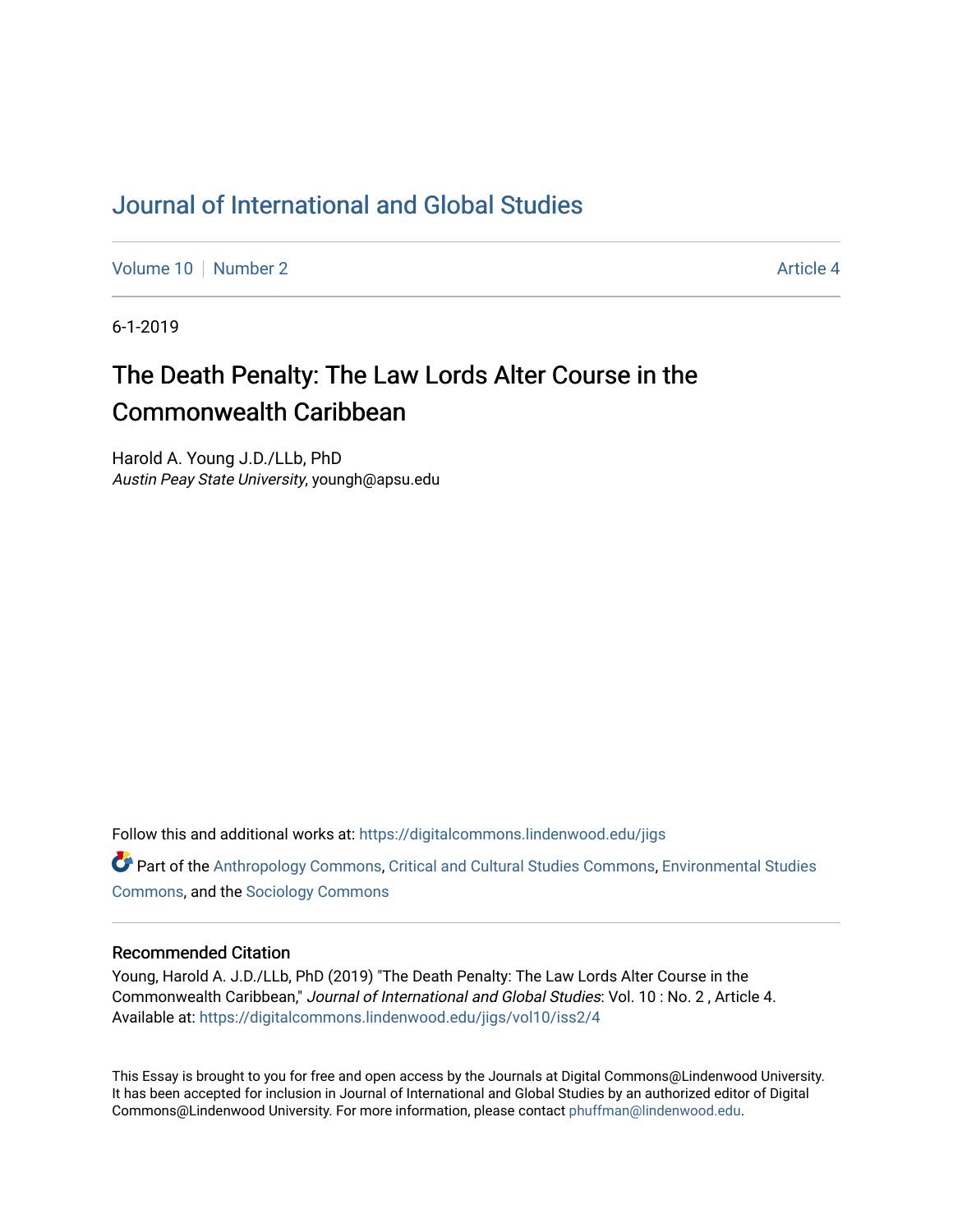# [Journal of International and Global Studies](https://digitalcommons.lindenwood.edu/jigs)

[Volume 10](https://digitalcommons.lindenwood.edu/jigs/vol10) [Number 2](https://digitalcommons.lindenwood.edu/jigs/vol10/iss2) Article 4

6-1-2019

# The Death Penalty: The Law Lords Alter Course in the Commonwealth Caribbean

Harold A. Young J.D./LLb, PhD Austin Peay State University, youngh@apsu.edu

Follow this and additional works at: [https://digitalcommons.lindenwood.edu/jigs](https://digitalcommons.lindenwood.edu/jigs?utm_source=digitalcommons.lindenwood.edu%2Fjigs%2Fvol10%2Fiss2%2F4&utm_medium=PDF&utm_campaign=PDFCoverPages) 

**C** Part of the [Anthropology Commons](http://network.bepress.com/hgg/discipline/318?utm_source=digitalcommons.lindenwood.edu%2Fjigs%2Fvol10%2Fiss2%2F4&utm_medium=PDF&utm_campaign=PDFCoverPages), [Critical and Cultural Studies Commons](http://network.bepress.com/hgg/discipline/328?utm_source=digitalcommons.lindenwood.edu%2Fjigs%2Fvol10%2Fiss2%2F4&utm_medium=PDF&utm_campaign=PDFCoverPages), Environmental Studies [Commons](http://network.bepress.com/hgg/discipline/1333?utm_source=digitalcommons.lindenwood.edu%2Fjigs%2Fvol10%2Fiss2%2F4&utm_medium=PDF&utm_campaign=PDFCoverPages), and the [Sociology Commons](http://network.bepress.com/hgg/discipline/416?utm_source=digitalcommons.lindenwood.edu%2Fjigs%2Fvol10%2Fiss2%2F4&utm_medium=PDF&utm_campaign=PDFCoverPages)

## Recommended Citation

Young, Harold A. J.D./LLb, PhD (2019) "The Death Penalty: The Law Lords Alter Course in the Commonwealth Caribbean," Journal of International and Global Studies: Vol. 10 : No. 2 , Article 4. Available at: [https://digitalcommons.lindenwood.edu/jigs/vol10/iss2/4](https://digitalcommons.lindenwood.edu/jigs/vol10/iss2/4?utm_source=digitalcommons.lindenwood.edu%2Fjigs%2Fvol10%2Fiss2%2F4&utm_medium=PDF&utm_campaign=PDFCoverPages) 

This Essay is brought to you for free and open access by the Journals at Digital Commons@Lindenwood University. It has been accepted for inclusion in Journal of International and Global Studies by an authorized editor of Digital Commons@Lindenwood University. For more information, please contact [phuffman@lindenwood.edu](mailto:phuffman@lindenwood.edu).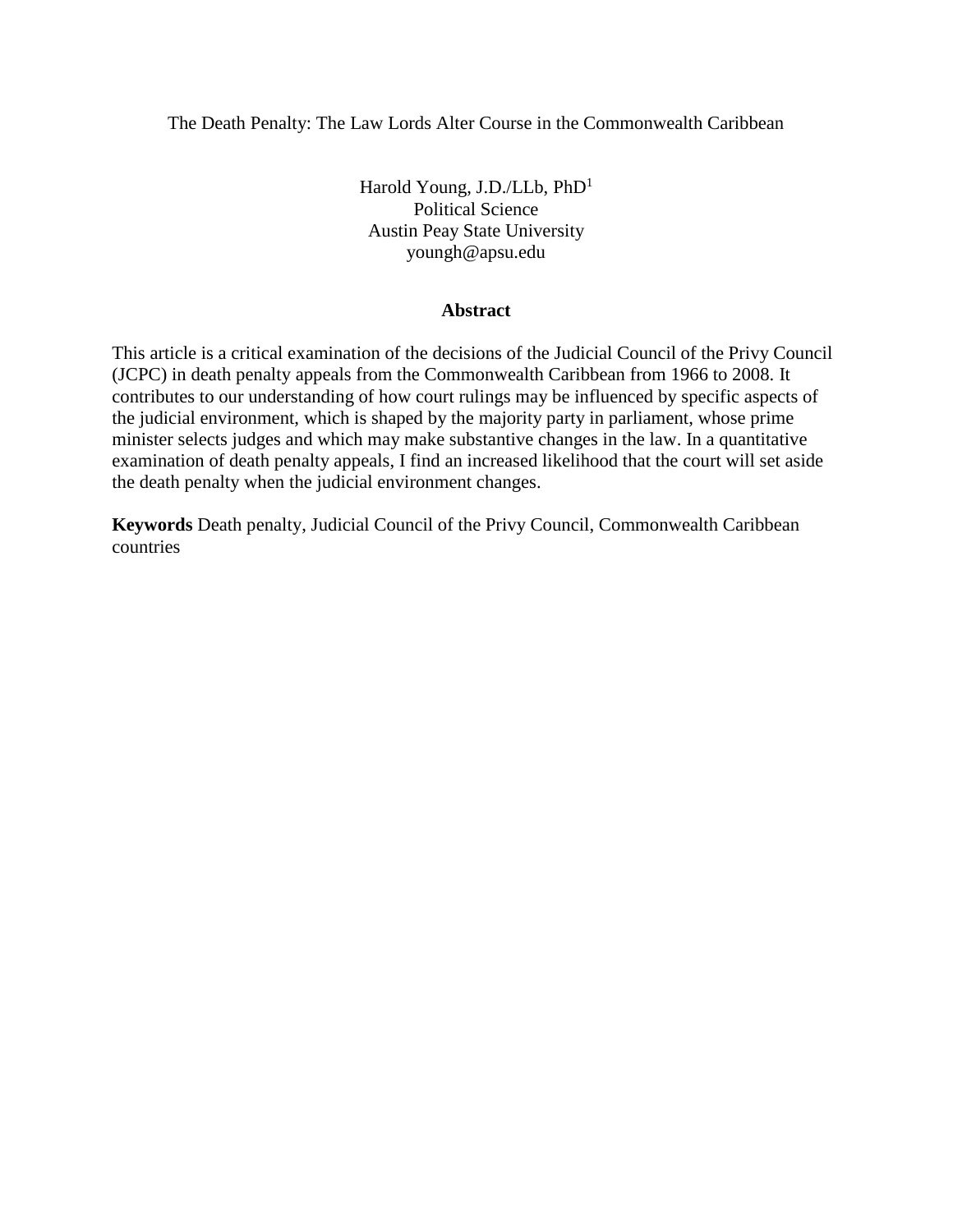The Death Penalty: The Law Lords Alter Course in the Commonwealth Caribbean

Harold Young, J.D./LLb, PhD<sup>1</sup> Political Science Austin Peay State University youngh@apsu.edu

# **Abstract**

This article is a critical examination of the decisions of the Judicial Council of the Privy Council (JCPC) in death penalty appeals from the Commonwealth Caribbean from 1966 to 2008. It contributes to our understanding of how court rulings may be influenced by specific aspects of the judicial environment, which is shaped by the majority party in parliament, whose prime minister selects judges and which may make substantive changes in the law. In a quantitative examination of death penalty appeals, I find an increased likelihood that the court will set aside the death penalty when the judicial environment changes.

**Keywords** Death penalty, Judicial Council of the Privy Council, Commonwealth Caribbean countries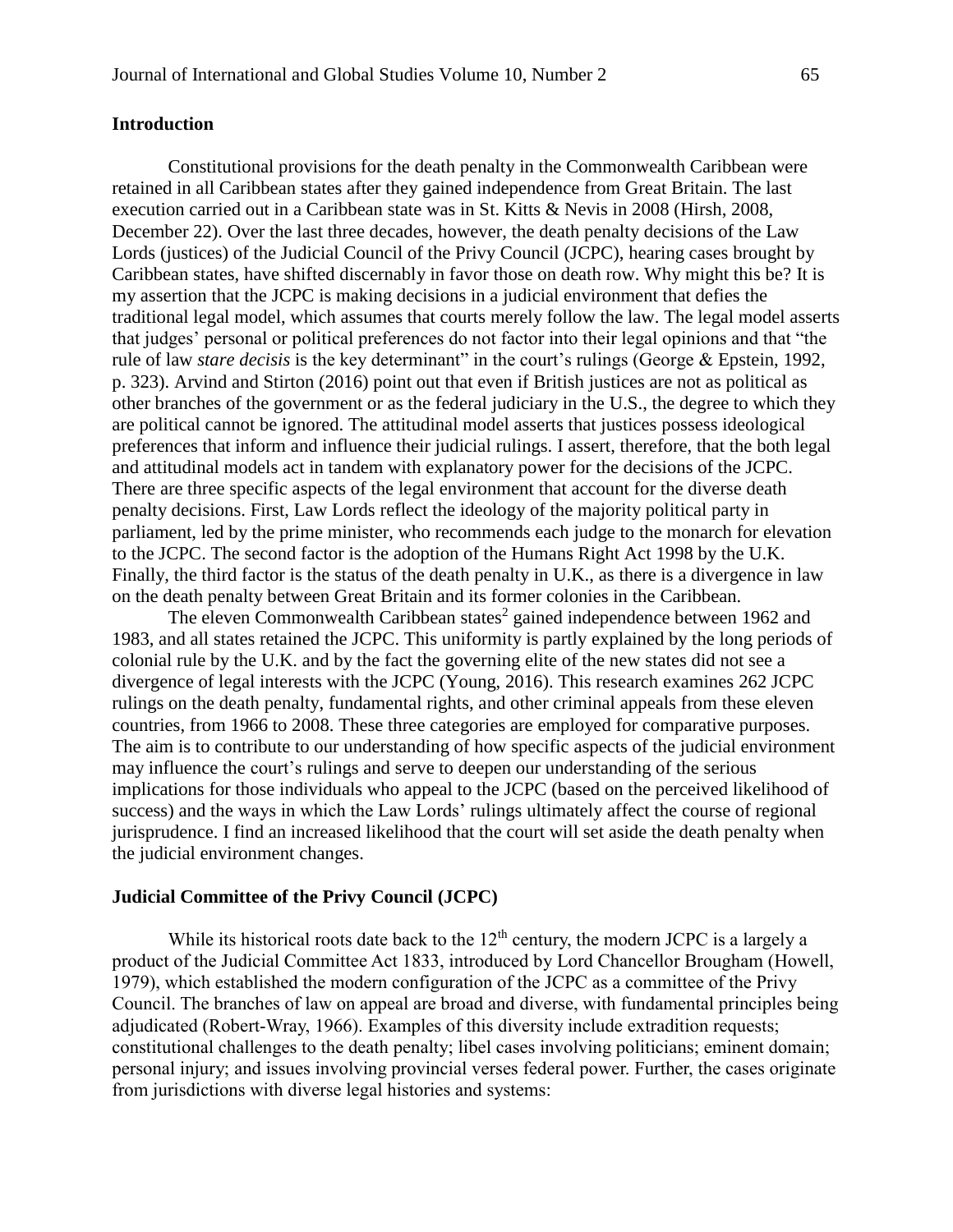#### **Introduction**

Constitutional provisions for the death penalty in the Commonwealth Caribbean were retained in all Caribbean states after they gained independence from Great Britain. The last execution carried out in a Caribbean state was in St. Kitts & Nevis in 2008 (Hirsh, 2008, December 22). Over the last three decades, however, the death penalty decisions of the Law Lords (justices) of the Judicial Council of the Privy Council (JCPC), hearing cases brought by Caribbean states, have shifted discernably in favor those on death row. Why might this be? It is my assertion that the JCPC is making decisions in a judicial environment that defies the traditional legal model, which assumes that courts merely follow the law. The legal model asserts that judges' personal or political preferences do not factor into their legal opinions and that "the rule of law *stare decisis* is the key determinant" in the court's rulings (George & Epstein, 1992, p. 323). Arvind and Stirton (2016) point out that even if British justices are not as political as other branches of the government or as the federal judiciary in the U.S., the degree to which they are political cannot be ignored. The attitudinal model asserts that justices possess ideological preferences that inform and influence their judicial rulings. I assert, therefore, that the both legal and attitudinal models act in tandem with explanatory power for the decisions of the JCPC. There are three specific aspects of the legal environment that account for the diverse death penalty decisions. First, Law Lords reflect the ideology of the majority political party in parliament, led by the prime minister, who recommends each judge to the monarch for elevation to the JCPC. The second factor is the adoption of the Humans Right Act 1998 by the U.K. Finally, the third factor is the status of the death penalty in U.K., as there is a divergence in law on the death penalty between Great Britain and its former colonies in the Caribbean.

The eleven Commonwealth Caribbean states<sup>2</sup> gained independence between 1962 and 1983, and all states retained the JCPC. This uniformity is partly explained by the long periods of colonial rule by the U.K. and by the fact the governing elite of the new states did not see a divergence of legal interests with the JCPC (Young, 2016). This research examines 262 JCPC rulings on the death penalty, fundamental rights, and other criminal appeals from these eleven countries, from 1966 to 2008. These three categories are employed for comparative purposes. The aim is to contribute to our understanding of how specific aspects of the judicial environment may influence the court's rulings and serve to deepen our understanding of the serious implications for those individuals who appeal to the JCPC (based on the perceived likelihood of success) and the ways in which the Law Lords' rulings ultimately affect the course of regional jurisprudence. I find an increased likelihood that the court will set aside the death penalty when the judicial environment changes.

## **Judicial Committee of the Privy Council (JCPC)**

While its historical roots date back to the  $12<sup>th</sup>$  century, the modern JCPC is a largely a product of the Judicial Committee Act 1833, introduced by Lord Chancellor Brougham (Howell, 1979), which established the modern configuration of the JCPC as a committee of the Privy Council. The branches of law on appeal are broad and diverse, with fundamental principles being adjudicated (Robert-Wray, 1966). Examples of this diversity include extradition requests; constitutional challenges to the death penalty; libel cases involving politicians; eminent domain; personal injury; and issues involving provincial verses federal power. Further, the cases originate from jurisdictions with diverse legal histories and systems: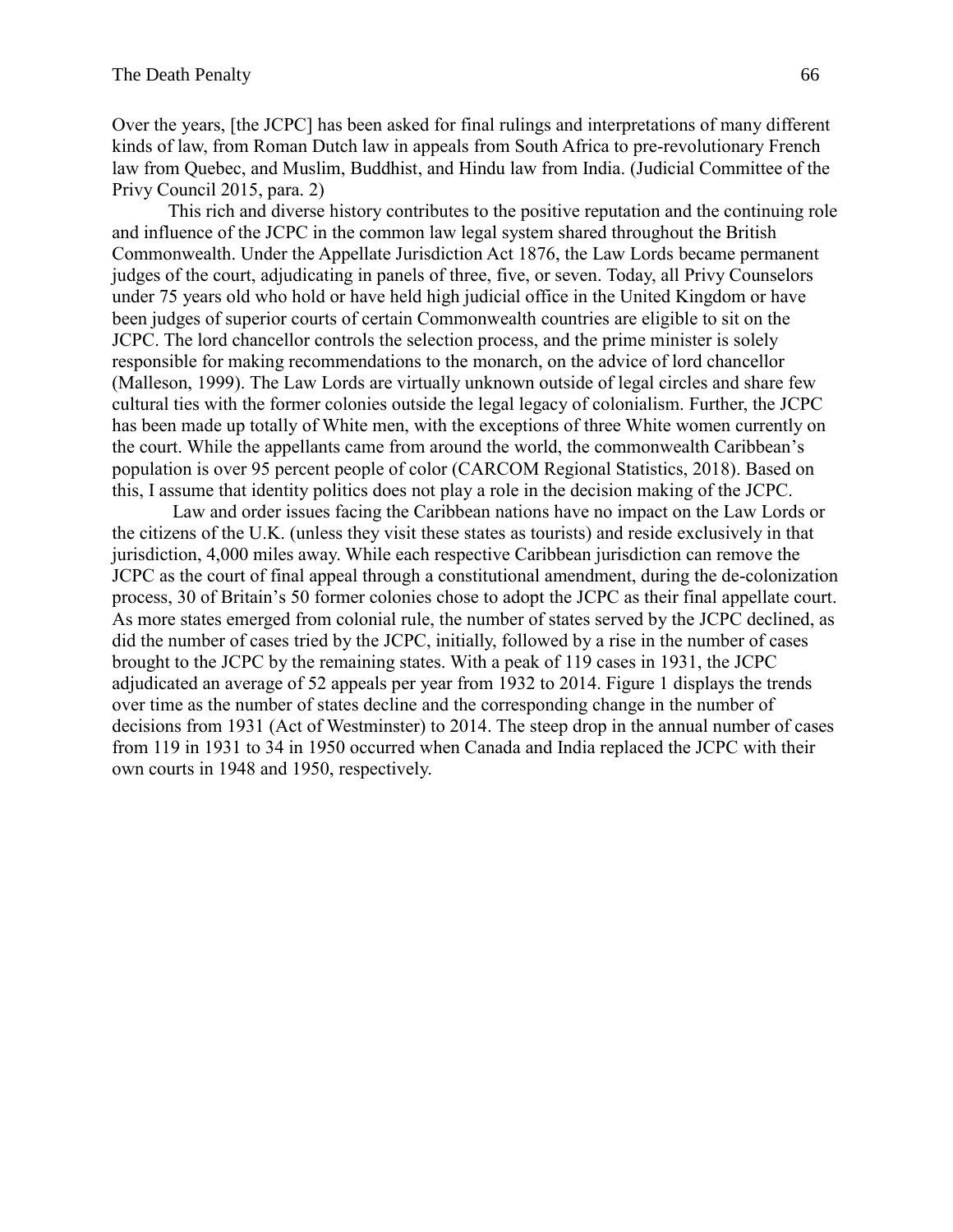Over the years, [the JCPC] has been asked for final rulings and interpretations of many different kinds of law, from Roman Dutch law in appeals from South Africa to pre-revolutionary French law from Quebec, and Muslim, Buddhist, and Hindu law from India. (Judicial Committee of the Privy Council 2015, para. 2)

This rich and diverse history contributes to the positive reputation and the continuing role and influence of the JCPC in the common law legal system shared throughout the British Commonwealth. Under the Appellate Jurisdiction Act 1876, the Law Lords became permanent judges of the court, adjudicating in panels of three, five, or seven. Today, all Privy Counselors under 75 years old who hold or have held high judicial office in the United Kingdom or have been judges of superior courts of certain Commonwealth countries are eligible to sit on the JCPC. The lord chancellor controls the selection process, and the prime minister is solely responsible for making recommendations to the monarch, on the advice of lord chancellor (Malleson, 1999). The Law Lords are virtually unknown outside of legal circles and share few cultural ties with the former colonies outside the legal legacy of colonialism. Further, the JCPC has been made up totally of White men, with the exceptions of three White women currently on the court. While the appellants came from around the world, the commonwealth Caribbean's population is over 95 percent people of color (CARCOM Regional Statistics, 2018). Based on this, I assume that identity politics does not play a role in the decision making of the JCPC.

Law and order issues facing the Caribbean nations have no impact on the Law Lords or the citizens of the U.K. (unless they visit these states as tourists) and reside exclusively in that jurisdiction, 4,000 miles away. While each respective Caribbean jurisdiction can remove the JCPC as the court of final appeal through a constitutional amendment, during the de-colonization process, 30 of Britain's 50 former colonies chose to adopt the JCPC as their final appellate court. As more states emerged from colonial rule, the number of states served by the JCPC declined, as did the number of cases tried by the JCPC, initially, followed by a rise in the number of cases brought to the JCPC by the remaining states. With a peak of 119 cases in 1931, the JCPC adjudicated an average of 52 appeals per year from 1932 to 2014. Figure 1 displays the trends over time as the number of states decline and the corresponding change in the number of decisions from 1931 (Act of Westminster) to 2014. The steep drop in the annual number of cases from 119 in 1931 to 34 in 1950 occurred when Canada and India replaced the JCPC with their own courts in 1948 and 1950, respectively.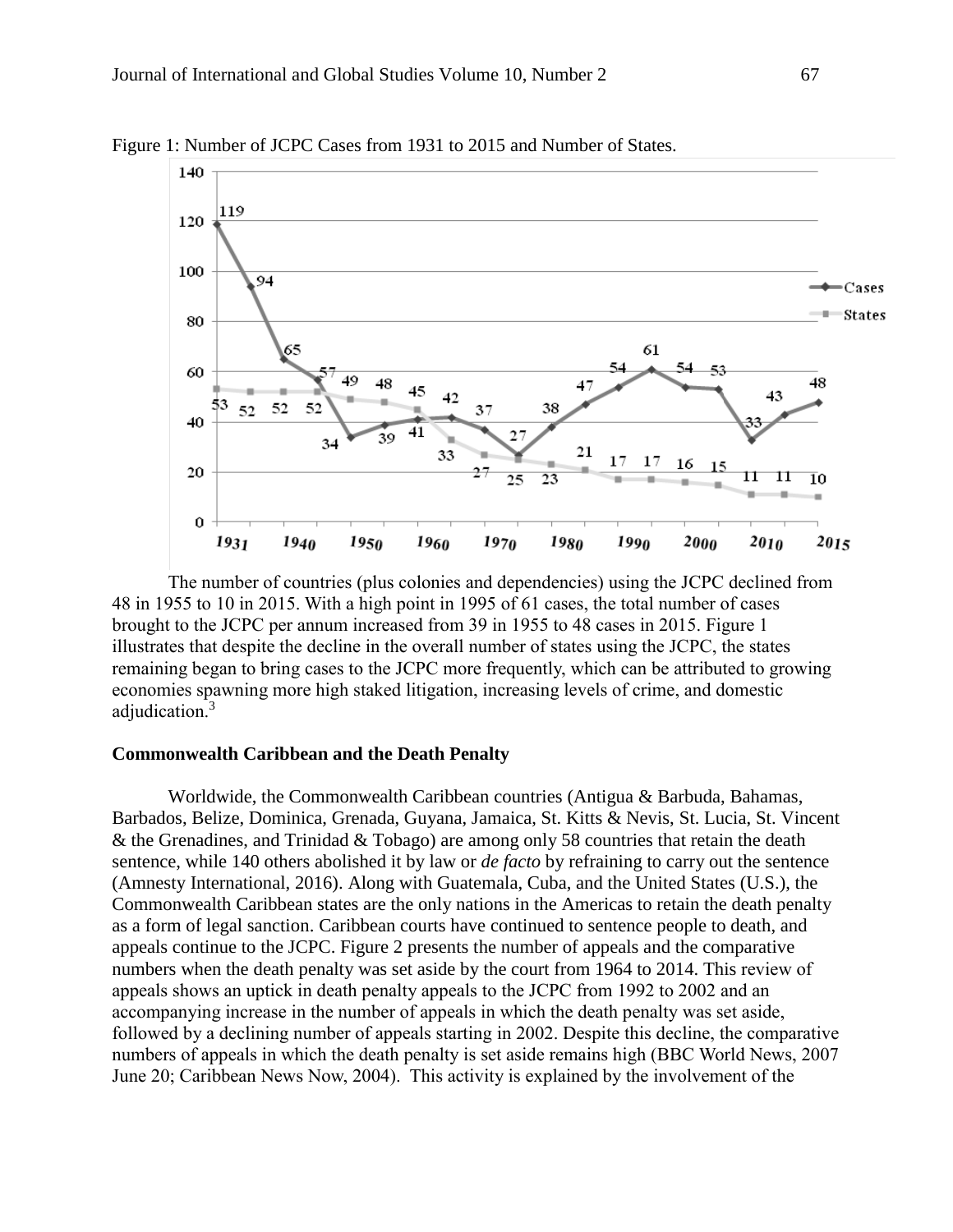

Figure 1: Number of JCPC Cases from 1931 to 2015 and Number of States.

The number of countries (plus colonies and dependencies) using the JCPC declined from 48 in 1955 to 10 in 2015. With a high point in 1995 of 61 cases, the total number of cases brought to the JCPC per annum increased from 39 in 1955 to 48 cases in 2015. Figure 1 illustrates that despite the decline in the overall number of states using the JCPC, the states remaining began to bring cases to the JCPC more frequently, which can be attributed to growing economies spawning more high staked litigation, increasing levels of crime, and domestic adjudication.<sup>3</sup>

#### **Commonwealth Caribbean and the Death Penalty**

Worldwide, the Commonwealth Caribbean countries (Antigua & Barbuda, Bahamas, Barbados, Belize, Dominica, Grenada, Guyana, Jamaica, St. Kitts & Nevis, St. Lucia, St. Vincent & the Grenadines, and Trinidad & Tobago) are among only 58 countries that retain the death sentence, while 140 others abolished it by law or *de facto* by refraining to carry out the sentence (Amnesty International, 2016). Along with Guatemala, Cuba, and the United States (U.S.), the Commonwealth Caribbean states are the only nations in the Americas to retain the death penalty as a form of legal sanction. Caribbean courts have continued to sentence people to death, and appeals continue to the JCPC. Figure 2 presents the number of appeals and the comparative numbers when the death penalty was set aside by the court from 1964 to 2014. This review of appeals shows an uptick in death penalty appeals to the JCPC from 1992 to 2002 and an accompanying increase in the number of appeals in which the death penalty was set aside, followed by a declining number of appeals starting in 2002. Despite this decline, the comparative numbers of appeals in which the death penalty is set aside remains high (BBC World News, 2007 June 20; Caribbean News Now, 2004). This activity is explained by the involvement of the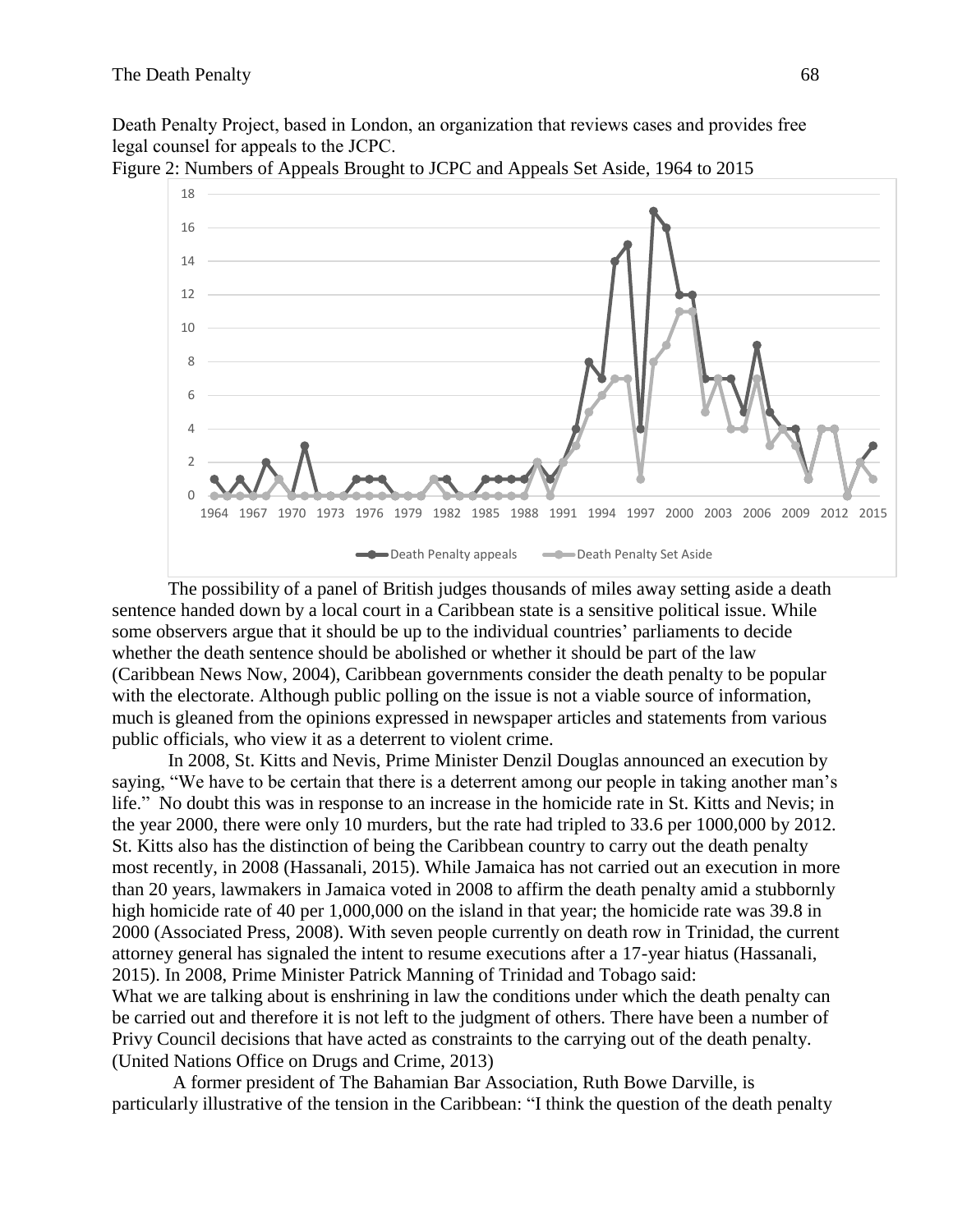Death Penalty Project, based in London, an organization that reviews cases and provides free legal counsel for appeals to the JCPC.



Figure 2: Numbers of Appeals Brought to JCPC and Appeals Set Aside, 1964 to 2015

The possibility of a panel of British judges thousands of miles away setting aside a death sentence handed down by a local court in a Caribbean state is a sensitive political issue. While some observers argue that it should be up to the individual countries' parliaments to decide whether the death sentence should be abolished or whether it should be part of the law (Caribbean News Now, 2004), Caribbean governments consider the death penalty to be popular with the electorate. Although public polling on the issue is not a viable source of information, much is gleaned from the opinions expressed in newspaper articles and statements from various public officials, who view it as a deterrent to violent crime.

In 2008, St. Kitts and Nevis, Prime Minister Denzil Douglas announced an execution by saying, "We have to be certain that there is a deterrent among our people in taking another man's life." No doubt this was in response to an increase in the homicide rate in St. Kitts and Nevis; in the year 2000, there were only 10 murders, but the rate had tripled to 33.6 per 1000,000 by 2012. St. Kitts also has the distinction of being the Caribbean country to carry out the death penalty most recently, in 2008 (Hassanali, 2015). While Jamaica has not carried out an execution in more than 20 years, lawmakers in Jamaica voted in 2008 to affirm the death penalty amid a stubbornly high homicide rate of 40 per 1,000,000 on the island in that year; the homicide rate was 39.8 in 2000 (Associated Press, 2008). With seven people currently on death row in Trinidad, the current attorney general has signaled the intent to resume executions after a 17-year hiatus (Hassanali, 2015). In 2008, Prime Minister Patrick Manning of Trinidad and Tobago said: What we are talking about is enshrining in law the conditions under which the death penalty can be carried out and therefore it is not left to the judgment of others. There have been a number of

Privy Council decisions that have acted as constraints to the carrying out of the death penalty. (United Nations Office on Drugs and Crime, 2013)

A former president of The Bahamian Bar Association, Ruth Bowe Darville, is particularly illustrative of the tension in the Caribbean: "I think the question of the death penalty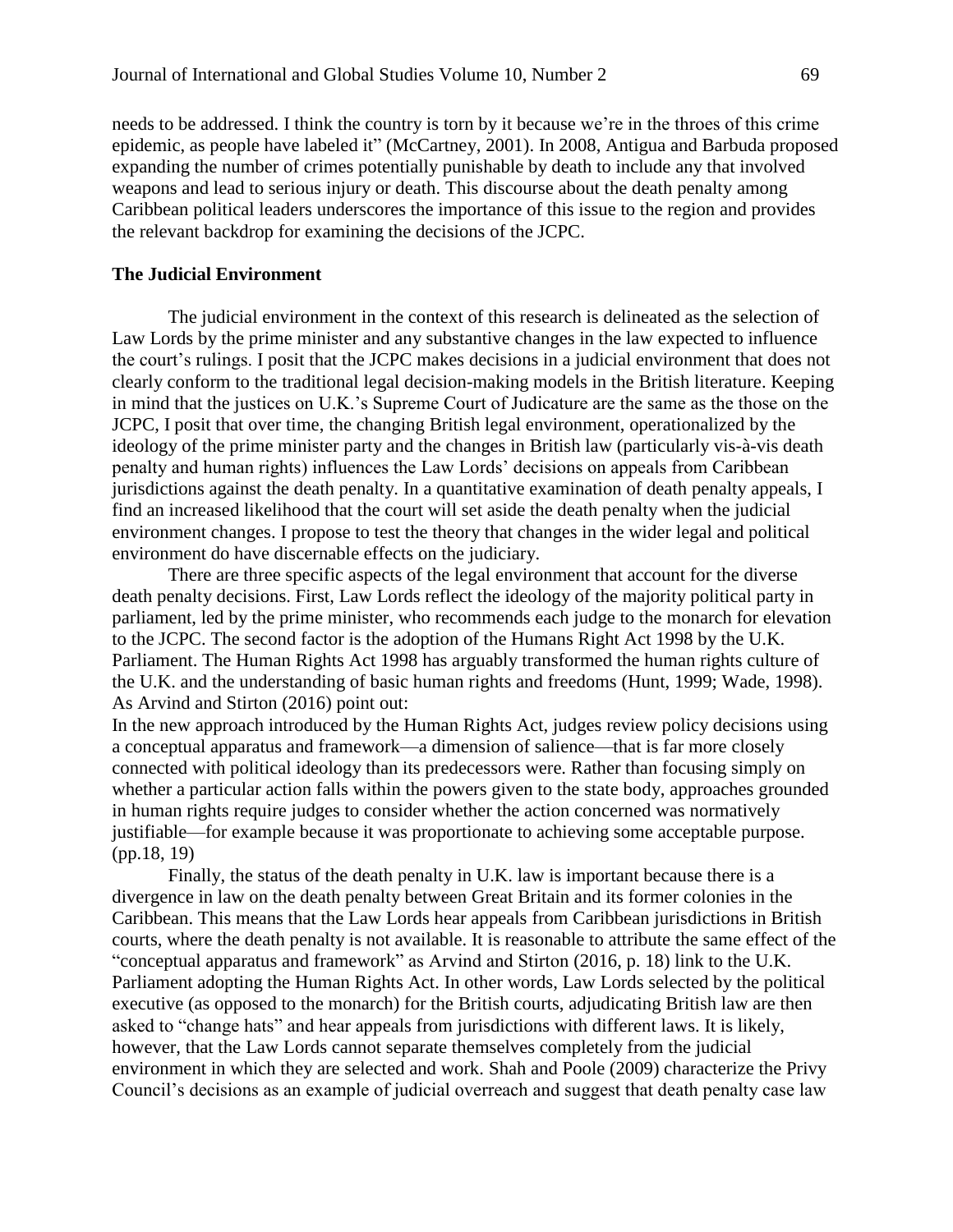needs to be addressed. I think the country is torn by it because we're in the throes of this crime epidemic, as people have labeled it" (McCartney, 2001). In 2008, Antigua and Barbuda proposed expanding the number of crimes potentially punishable by death to include any that involved weapons and lead to serious injury or death. This discourse about the death penalty among Caribbean political leaders underscores the importance of this issue to the region and provides the relevant backdrop for examining the decisions of the JCPC.

#### **The Judicial Environment**

The judicial environment in the context of this research is delineated as the selection of Law Lords by the prime minister and any substantive changes in the law expected to influence the court's rulings. I posit that the JCPC makes decisions in a judicial environment that does not clearly conform to the traditional legal decision-making models in the British literature. Keeping in mind that the justices on U.K.'s Supreme Court of Judicature are the same as the those on the JCPC, I posit that over time, the changing British legal environment, operationalized by the ideology of the prime minister party and the changes in British law (particularly vis-à-vis death penalty and human rights) influences the Law Lords' decisions on appeals from Caribbean jurisdictions against the death penalty. In a quantitative examination of death penalty appeals, I find an increased likelihood that the court will set aside the death penalty when the judicial environment changes. I propose to test the theory that changes in the wider legal and political environment do have discernable effects on the judiciary.

There are three specific aspects of the legal environment that account for the diverse death penalty decisions. First, Law Lords reflect the ideology of the majority political party in parliament, led by the prime minister, who recommends each judge to the monarch for elevation to the JCPC. The second factor is the adoption of the Humans Right Act 1998 by the U.K. Parliament. The Human Rights Act 1998 has arguably transformed the human rights culture of the U.K. and the understanding of basic human rights and freedoms (Hunt, 1999; Wade, 1998). As Arvind and Stirton (2016) point out:

In the new approach introduced by the Human Rights Act, judges review policy decisions using a conceptual apparatus and framework—a dimension of salience—that is far more closely connected with political ideology than its predecessors were. Rather than focusing simply on whether a particular action falls within the powers given to the state body, approaches grounded in human rights require judges to consider whether the action concerned was normatively justifiable—for example because it was proportionate to achieving some acceptable purpose. (pp.18, 19)

Finally, the status of the death penalty in U.K. law is important because there is a divergence in law on the death penalty between Great Britain and its former colonies in the Caribbean. This means that the Law Lords hear appeals from Caribbean jurisdictions in British courts, where the death penalty is not available. It is reasonable to attribute the same effect of the "conceptual apparatus and framework" as Arvind and Stirton (2016, p. 18) link to the U.K. Parliament adopting the Human Rights Act. In other words, Law Lords selected by the political executive (as opposed to the monarch) for the British courts, adjudicating British law are then asked to "change hats" and hear appeals from jurisdictions with different laws. It is likely, however, that the Law Lords cannot separate themselves completely from the judicial environment in which they are selected and work. Shah and Poole (2009) characterize the Privy Council's decisions as an example of judicial overreach and suggest that death penalty case law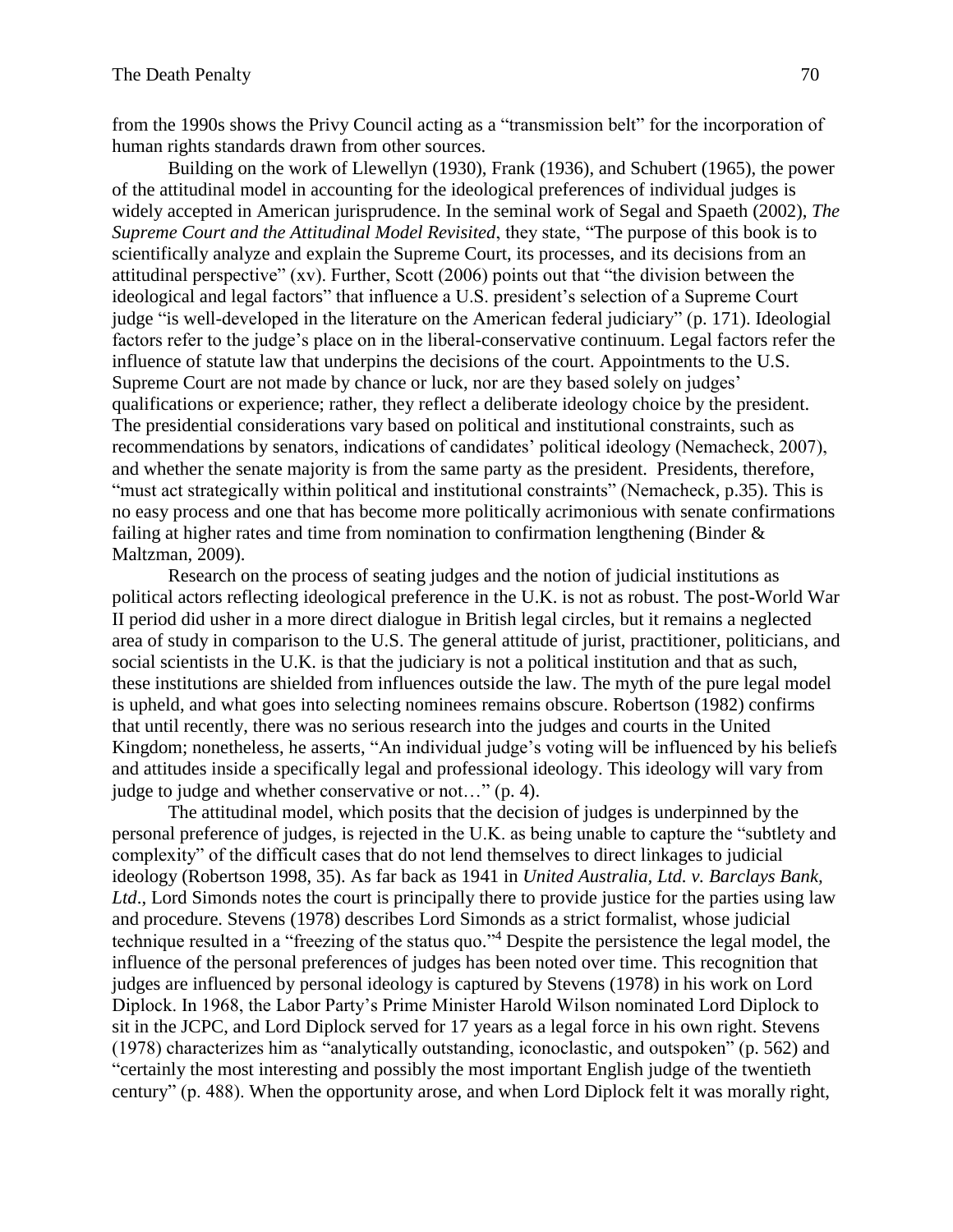from the 1990s shows the Privy Council acting as a "transmission belt" for the incorporation of human rights standards drawn from other sources.

Building on the work of Llewellyn (1930), Frank (1936), and Schubert (1965), the power of the attitudinal model in accounting for the ideological preferences of individual judges is widely accepted in American jurisprudence. In the seminal work of Segal and Spaeth (2002), *The Supreme Court and the Attitudinal Model Revisited*, they state, "The purpose of this book is to scientifically analyze and explain the Supreme Court, its processes, and its decisions from an attitudinal perspective" (xv). Further, Scott (2006) points out that "the division between the ideological and legal factors" that influence a U.S. president's selection of a Supreme Court judge "is well-developed in the literature on the American federal judiciary" (p. 171). Ideologial factors refer to the judge's place on in the liberal-conservative continuum. Legal factors refer the influence of statute law that underpins the decisions of the court. Appointments to the U.S. Supreme Court are not made by chance or luck, nor are they based solely on judges' qualifications or experience; rather, they reflect a deliberate ideology choice by the president. The presidential considerations vary based on political and institutional constraints, such as recommendations by senators, indications of candidates' political ideology (Nemacheck, 2007), and whether the senate majority is from the same party as the president. Presidents, therefore, "must act strategically within political and institutional constraints" (Nemacheck, p.35). This is no easy process and one that has become more politically acrimonious with senate confirmations failing at higher rates and time from nomination to confirmation lengthening (Binder & Maltzman, 2009).

Research on the process of seating judges and the notion of judicial institutions as political actors reflecting ideological preference in the U.K. is not as robust. The post-World War II period did usher in a more direct dialogue in British legal circles, but it remains a neglected area of study in comparison to the U.S. The general attitude of jurist, practitioner, politicians, and social scientists in the U.K. is that the judiciary is not a political institution and that as such, these institutions are shielded from influences outside the law. The myth of the pure legal model is upheld, and what goes into selecting nominees remains obscure. Robertson (1982) confirms that until recently, there was no serious research into the judges and courts in the United Kingdom; nonetheless, he asserts, "An individual judge's voting will be influenced by his beliefs and attitudes inside a specifically legal and professional ideology. This ideology will vary from judge to judge and whether conservative or not…" (p. 4).

The attitudinal model, which posits that the decision of judges is underpinned by the personal preference of judges, is rejected in the U.K. as being unable to capture the "subtlety and complexity" of the difficult cases that do not lend themselves to direct linkages to judicial ideology (Robertson 1998, 35). As far back as 1941 in *United Australia, Ltd. v. Barclays Bank,*  Ltd., Lord Simonds notes the court is principally there to provide justice for the parties using law and procedure. Stevens (1978) describes Lord Simonds as a strict formalist, whose judicial technique resulted in a "freezing of the status quo."<sup>4</sup> Despite the persistence the legal model, the influence of the personal preferences of judges has been noted over time. This recognition that judges are influenced by personal ideology is captured by Stevens (1978) in his work on Lord Diplock. In 1968, the Labor Party's Prime Minister Harold Wilson nominated Lord Diplock to sit in the JCPC, and Lord Diplock served for 17 years as a legal force in his own right. Stevens (1978) characterizes him as "analytically outstanding, iconoclastic, and outspoken" (p. 562) and "certainly the most interesting and possibly the most important English judge of the twentieth century" (p. 488). When the opportunity arose, and when Lord Diplock felt it was morally right,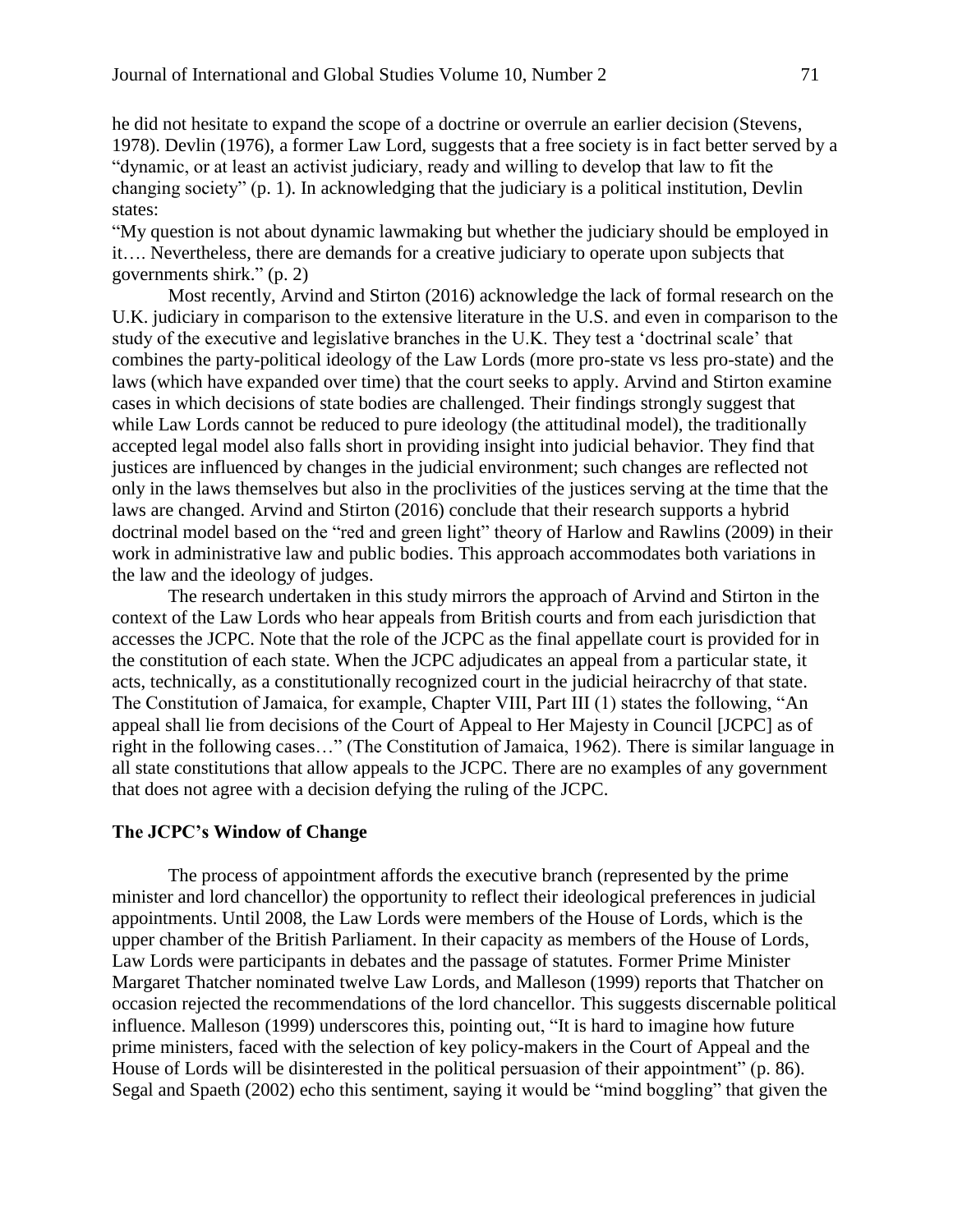he did not hesitate to expand the scope of a doctrine or overrule an earlier decision (Stevens, 1978). Devlin (1976), a former Law Lord, suggests that a free society is in fact better served by a "dynamic, or at least an activist judiciary, ready and willing to develop that law to fit the changing society" (p. 1). In acknowledging that the judiciary is a political institution, Devlin states:

"My question is not about dynamic lawmaking but whether the judiciary should be employed in it…. Nevertheless, there are demands for a creative judiciary to operate upon subjects that governments shirk." (p. 2)

Most recently, Arvind and Stirton (2016) acknowledge the lack of formal research on the U.K. judiciary in comparison to the extensive literature in the U.S. and even in comparison to the study of the executive and legislative branches in the U.K. They test a 'doctrinal scale' that combines the party-political ideology of the Law Lords (more pro-state vs less pro-state) and the laws (which have expanded over time) that the court seeks to apply. Arvind and Stirton examine cases in which decisions of state bodies are challenged. Their findings strongly suggest that while Law Lords cannot be reduced to pure ideology (the attitudinal model), the traditionally accepted legal model also falls short in providing insight into judicial behavior. They find that justices are influenced by changes in the judicial environment; such changes are reflected not only in the laws themselves but also in the proclivities of the justices serving at the time that the laws are changed. Arvind and Stirton (2016) conclude that their research supports a hybrid doctrinal model based on the "red and green light" theory of Harlow and Rawlins (2009) in their work in administrative law and public bodies. This approach accommodates both variations in the law and the ideology of judges.

The research undertaken in this study mirrors the approach of Arvind and Stirton in the context of the Law Lords who hear appeals from British courts and from each jurisdiction that accesses the JCPC. Note that the role of the JCPC as the final appellate court is provided for in the constitution of each state. When the JCPC adjudicates an appeal from a particular state, it acts, technically, as a constitutionally recognized court in the judicial heiracrchy of that state. The Constitution of Jamaica, for example, Chapter VIII, Part III (1) states the following, "An appeal shall lie from decisions of the Court of Appeal to Her Majesty in Council [JCPC] as of right in the following cases…" (The Constitution of Jamaica, 1962). There is similar language in all state constitutions that allow appeals to the JCPC. There are no examples of any government that does not agree with a decision defying the ruling of the JCPC.

#### **The JCPC's Window of Change**

The process of appointment affords the executive branch (represented by the prime minister and lord chancellor) the opportunity to reflect their ideological preferences in judicial appointments. Until 2008, the Law Lords were members of the House of Lords, which is the upper chamber of the British Parliament. In their capacity as members of the House of Lords, Law Lords were participants in debates and the passage of statutes. Former Prime Minister Margaret Thatcher nominated twelve Law Lords, and Malleson (1999) reports that Thatcher on occasion rejected the recommendations of the lord chancellor. This suggests discernable political influence. Malleson (1999) underscores this, pointing out, "It is hard to imagine how future prime ministers, faced with the selection of key policy-makers in the Court of Appeal and the House of Lords will be disinterested in the political persuasion of their appointment" (p. 86). Segal and Spaeth (2002) echo this sentiment, saying it would be "mind boggling" that given the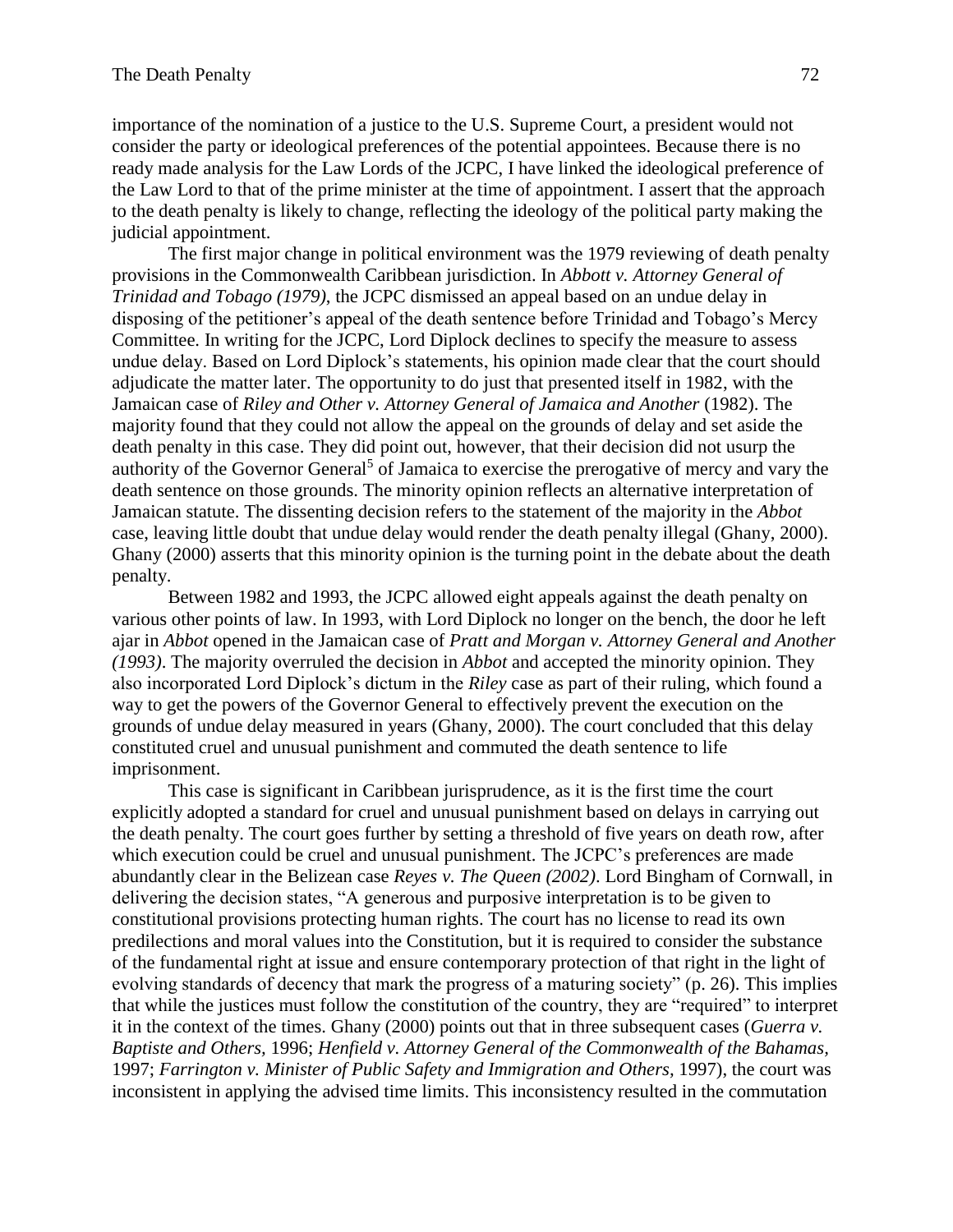importance of the nomination of a justice to the U.S. Supreme Court, a president would not consider the party or ideological preferences of the potential appointees. Because there is no ready made analysis for the Law Lords of the JCPC, I have linked the ideological preference of the Law Lord to that of the prime minister at the time of appointment. I assert that the approach to the death penalty is likely to change, reflecting the ideology of the political party making the judicial appointment.

The first major change in political environment was the 1979 reviewing of death penalty provisions in the Commonwealth Caribbean jurisdiction. In *Abbott v. Attorney General of Trinidad and Tobago (1979)*, the JCPC dismissed an appeal based on an undue delay in disposing of the petitioner's appeal of the death sentence before Trinidad and Tobago's Mercy Committee. In writing for the JCPC, Lord Diplock declines to specify the measure to assess undue delay. Based on Lord Diplock's statements, his opinion made clear that the court should adjudicate the matter later. The opportunity to do just that presented itself in 1982, with the Jamaican case of *Riley and Other v. Attorney General of Jamaica and Another* (1982). The majority found that they could not allow the appeal on the grounds of delay and set aside the death penalty in this case. They did point out, however, that their decision did not usurp the authority of the Governor General<sup>5</sup> of Jamaica to exercise the prerogative of mercy and vary the death sentence on those grounds. The minority opinion reflects an alternative interpretation of Jamaican statute. The dissenting decision refers to the statement of the majority in the *Abbot* case, leaving little doubt that undue delay would render the death penalty illegal (Ghany, 2000). Ghany (2000) asserts that this minority opinion is the turning point in the debate about the death penalty.

Between 1982 and 1993, the JCPC allowed eight appeals against the death penalty on various other points of law. In 1993, with Lord Diplock no longer on the bench, the door he left ajar in *Abbot* opened in the Jamaican case of *Pratt and Morgan v. Attorney General and Another (1993)*. The majority overruled the decision in *Abbot* and accepted the minority opinion. They also incorporated Lord Diplock's dictum in the *Riley* case as part of their ruling, which found a way to get the powers of the Governor General to effectively prevent the execution on the grounds of undue delay measured in years (Ghany, 2000). The court concluded that this delay constituted cruel and unusual punishment and commuted the death sentence to life imprisonment.

This case is significant in Caribbean jurisprudence, as it is the first time the court explicitly adopted a standard for cruel and unusual punishment based on delays in carrying out the death penalty. The court goes further by setting a threshold of five years on death row, after which execution could be cruel and unusual punishment. The JCPC's preferences are made abundantly clear in the Belizean case *Reyes v. The Queen (2002)*. Lord Bingham of Cornwall, in delivering the decision states, "A generous and purposive interpretation is to be given to constitutional provisions protecting human rights. The court has no license to read its own predilections and moral values into the Constitution, but it is required to consider the substance of the fundamental right at issue and ensure contemporary protection of that right in the light of evolving standards of decency that mark the progress of a maturing society" (p. 26). This implies that while the justices must follow the constitution of the country, they are "required" to interpret it in the context of the times. Ghany (2000) points out that in three subsequent cases (*Guerra v. Baptiste and Others,* 1996; *Henfield v. Attorney General of the Commonwealth of the Bahamas,*  1997; *Farrington v. Minister of Public Safety and Immigration and Others,* 1997), the court was inconsistent in applying the advised time limits. This inconsistency resulted in the commutation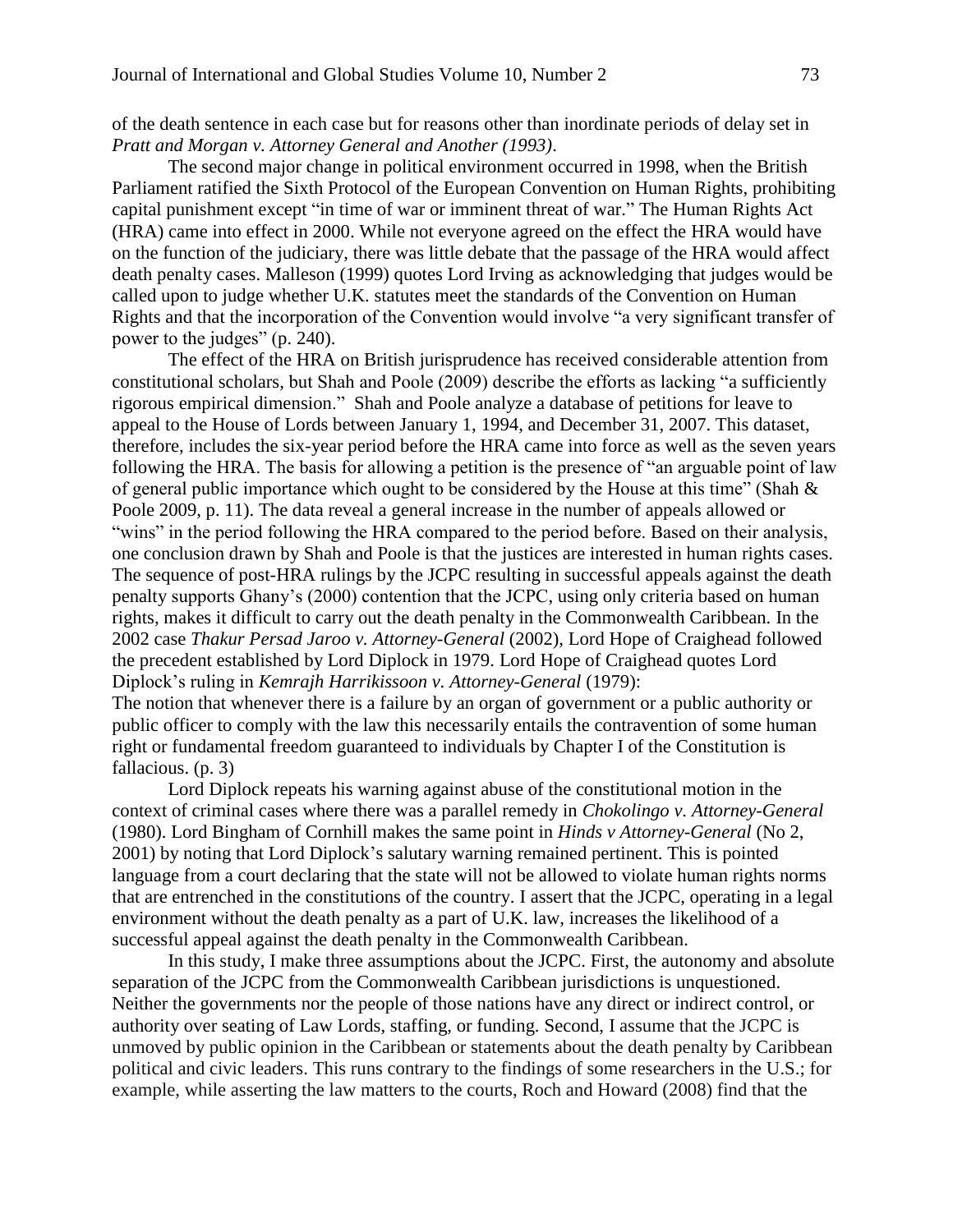of the death sentence in each case but for reasons other than inordinate periods of delay set in *Pratt and Morgan v. Attorney General and Another (1993)*.

The second major change in political environment occurred in 1998, when the British Parliament ratified the Sixth Protocol of the [European Convention on Human Rights,](http://en.wikipedia.org/wiki/European_Convention_on_Human_Rights) prohibiting capital punishment except "in time of war or imminent threat of war." The Human Rights Act (HRA) came into effect in 2000. While not everyone agreed on the effect the HRA would have on the function of the judiciary, there was little debate that the passage of the HRA would affect death penalty cases. Malleson (1999) quotes Lord Irving as acknowledging that judges would be called upon to judge whether U.K. statutes meet the standards of the Convention on Human Rights and that the incorporation of the Convention would involve "a very significant transfer of power to the judges" (p. 240).

The effect of the HRA on British jurisprudence has received considerable attention from constitutional scholars, but Shah and Poole (2009) describe the efforts as lacking "a sufficiently rigorous empirical dimension." Shah and Poole analyze a database of petitions for leave to appeal to the House of Lords between January 1, 1994, and December 31, 2007. This dataset, therefore, includes the six-year period before the HRA came into force as well as the seven years following the HRA. The basis for allowing a petition is the presence of "an arguable point of law of general public importance which ought to be considered by the House at this time" (Shah & Poole 2009, p. 11). The data reveal a general increase in the number of appeals allowed or "wins" in the period following the HRA compared to the period before. Based on their analysis, one conclusion drawn by Shah and Poole is that the justices are interested in human rights cases. The sequence of post-HRA rulings by the JCPC resulting in successful appeals against the death penalty supports Ghany's (2000) contention that the JCPC, using only criteria based on human rights, makes it difficult to carry out the death penalty in the Commonwealth Caribbean. In the 2002 case *Thakur Persad Jaroo v. Attorney-General* (2002), Lord Hope of Craighead followed the precedent established by Lord Diplock in 1979. Lord Hope of Craighead quotes Lord Diplock's ruling in *Kemrajh Harrikissoon v. Attorney-General* (1979):

The notion that whenever there is a failure by an organ of government or a public authority or public officer to comply with the law this necessarily entails the contravention of some human right or fundamental freedom guaranteed to individuals by Chapter I of the Constitution is fallacious. (p. 3)

Lord Diplock repeats his warning against abuse of the constitutional motion in the context of criminal cases where there was a parallel remedy in *Chokolingo v. Attorney-General*  (1980). Lord Bingham of Cornhill makes the same point in *Hinds v Attorney-General* (No 2, 2001) by noting that Lord Diplock's salutary warning remained pertinent. This is pointed language from a court declaring that the state will not be allowed to violate human rights norms that are entrenched in the constitutions of the country. I assert that the JCPC, operating in a legal environment without the death penalty as a part of U.K. law, increases the likelihood of a successful appeal against the death penalty in the Commonwealth Caribbean.

In this study, I make three assumptions about the JCPC. First, the autonomy and absolute separation of the JCPC from the Commonwealth Caribbean jurisdictions is unquestioned. Neither the governments nor the people of those nations have any direct or indirect control, or authority over seating of Law Lords, staffing, or funding. Second, I assume that the JCPC is unmoved by public opinion in the Caribbean or statements about the death penalty by Caribbean political and civic leaders. This runs contrary to the findings of some researchers in the U.S.; for example, while asserting the law matters to the courts, Roch and Howard (2008) find that the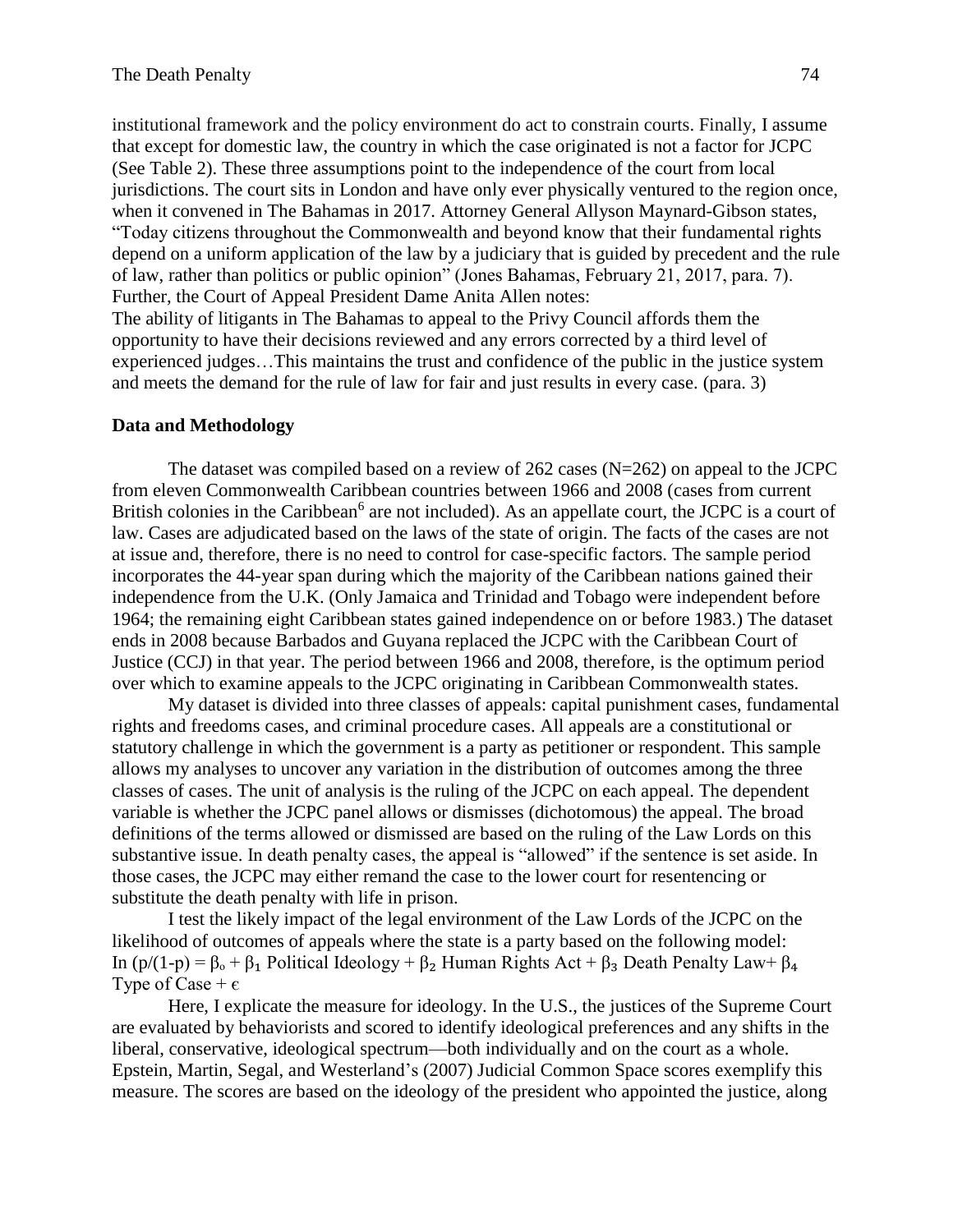institutional framework and the policy environment do act to constrain courts. Finally, I assume that except for domestic law, the country in which the case originated is not a factor for JCPC (See Table 2). These three assumptions point to the independence of the court from local jurisdictions. The court sits in London and have only ever physically ventured to the region once, when it convened in The Bahamas in 2017. Attorney General Allyson Maynard-Gibson states, "Today citizens throughout the Commonwealth and beyond know that their fundamental rights depend on a uniform application of the law by a judiciary that is guided by precedent and the rule of law, rather than politics or public opinion" (Jones Bahamas, February 21, 2017, para. 7). Further, the Court of Appeal President Dame Anita Allen notes:

The ability of litigants in The Bahamas to appeal to the Privy Council affords them the opportunity to have their decisions reviewed and any errors corrected by a third level of experienced judges…This maintains the trust and confidence of the public in the justice system and meets the demand for the rule of law for fair and just results in every case. (para. 3)

#### **Data and Methodology**

The dataset was compiled based on a review of 262 cases (N=262) on appeal to the JCPC from eleven Commonwealth Caribbean countries between 1966 and 2008 (cases from current British colonies in the Caribbean<sup>6</sup> are not included). As an appellate court, the JCPC is a court of law. Cases are adjudicated based on the laws of the state of origin. The facts of the cases are not at issue and, therefore, there is no need to control for case-specific factors. The sample period incorporates the 44-year span during which the majority of the Caribbean nations gained their independence from the U.K. (Only Jamaica and Trinidad and Tobago were independent before 1964; the remaining eight Caribbean states gained independence on or before 1983.) The dataset ends in 2008 because Barbados and Guyana replaced the JCPC with the Caribbean Court of Justice (CCJ) in that year. The period between 1966 and 2008, therefore, is the optimum period over which to examine appeals to the JCPC originating in Caribbean Commonwealth states.

My dataset is divided into three classes of appeals: capital punishment cases, fundamental rights and freedoms cases, and criminal procedure cases. All appeals are a constitutional or statutory challenge in which the government is a party as petitioner or respondent. This sample allows my analyses to uncover any variation in the distribution of outcomes among the three classes of cases. The unit of analysis is the ruling of the JCPC on each appeal. The dependent variable is whether the JCPC panel allows or dismisses (dichotomous) the appeal. The broad definitions of the terms allowed or dismissed are based on the ruling of the Law Lords on this substantive issue. In death penalty cases, the appeal is "allowed" if the sentence is set aside. In those cases, the JCPC may either remand the case to the lower court for resentencing or substitute the death penalty with life in prison.

I test the likely impact of the legal environment of the Law Lords of the JCPC on the likelihood of outcomes of appeals where the state is a party based on the following model: In (p/(1-p) =  $\beta_0$  +  $\beta_1$  Political Ideology +  $\beta_2$  Human Rights Act +  $\beta_3$  Death Penalty Law+  $\beta_4$ Type of Case +  $\epsilon$ 

Here, I explicate the measure for ideology. In the U.S., the justices of the Supreme Court are evaluated by behaviorists and scored to identify ideological preferences and any shifts in the liberal, conservative, ideological spectrum—both individually and on the court as a whole. Epstein, Martin, Segal, and Westerland's (2007) Judicial Common Space scores exemplify this measure. The scores are based on the ideology of the president who appointed the justice, along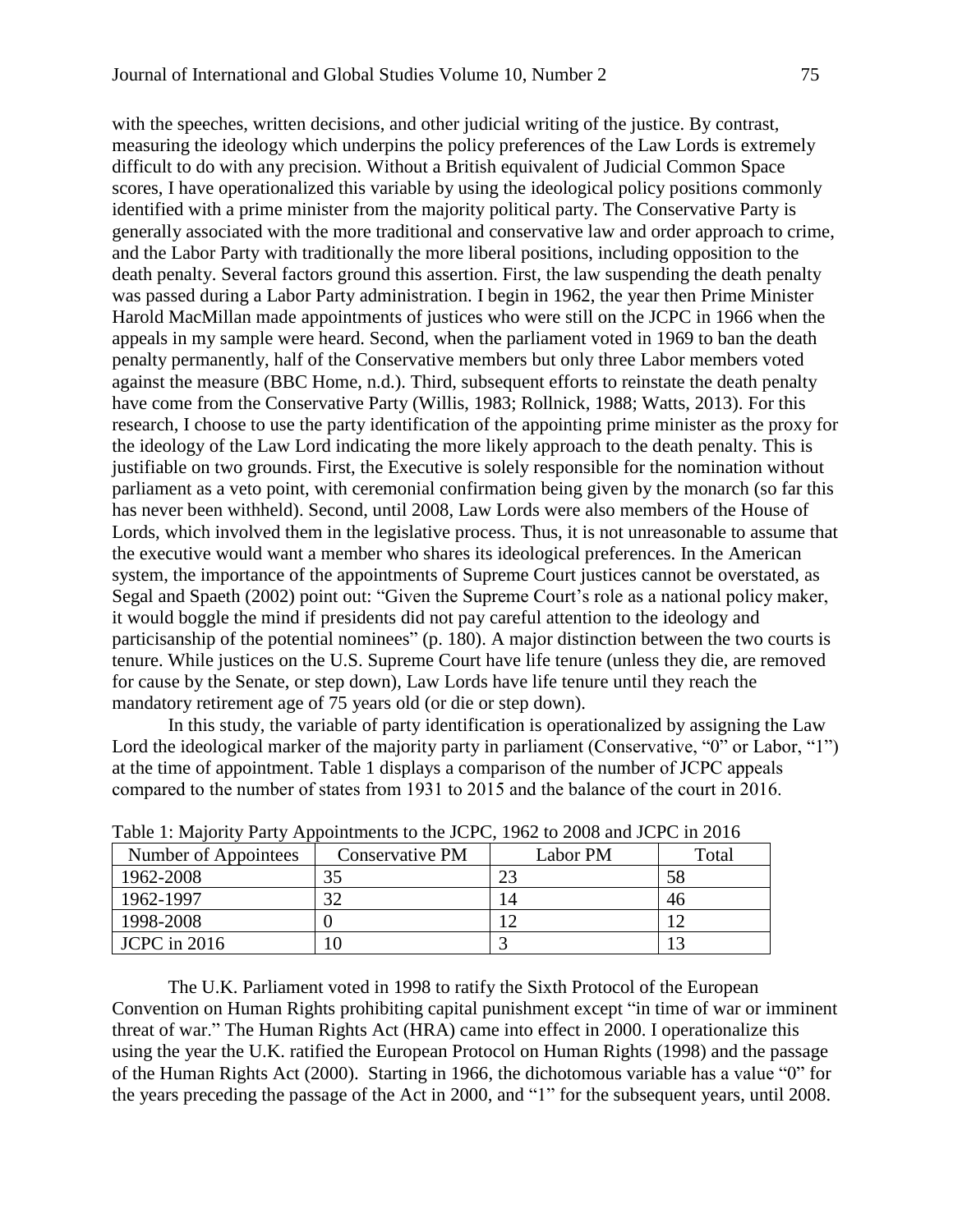with the speeches, written decisions, and other judicial writing of the justice. By contrast, measuring the ideology which underpins the policy preferences of the Law Lords is extremely difficult to do with any precision. Without a British equivalent of Judicial Common Space scores, I have operationalized this variable by using the ideological policy positions commonly identified with a prime minister from the majority political party. The Conservative Party is generally associated with the more traditional and conservative law and order approach to crime, and the Labor Party with traditionally the more liberal positions, including opposition to the death penalty. Several factors ground this assertion. First, the law suspending the death penalty was passed during a Labor Party administration. I begin in 1962, the year then Prime Minister Harold MacMillan made appointments of justices who were still on the JCPC in 1966 when the appeals in my sample were heard. Second, when the parliament voted in 1969 to ban the death penalty permanently, half of the Conservative members but only three Labor members voted against the measure (BBC Home, n.d.). Third, subsequent efforts to reinstate the death penalty have come from the Conservative Party (Willis, 1983; Rollnick, 1988; Watts, 2013). For this research, I choose to use the party identification of the appointing prime minister as the proxy for the ideology of the Law Lord indicating the more likely approach to the death penalty. This is justifiable on two grounds. First, the Executive is solely responsible for the nomination without parliament as a veto point, with ceremonial confirmation being given by the monarch (so far this has never been withheld). Second, until 2008, Law Lords were also members of the House of Lords, which involved them in the legislative process. Thus, it is not unreasonable to assume that the executive would want a member who shares its ideological preferences. In the American system, the importance of the appointments of Supreme Court justices cannot be overstated, as Segal and Spaeth (2002) point out: "Given the Supreme Court's role as a national policy maker, it would boggle the mind if presidents did not pay careful attention to the ideology and particisanship of the potential nominees" (p. 180). A major distinction between the two courts is tenure. While justices on the U.S. Supreme Court have life tenure (unless they die, are removed for cause by the Senate, or step down), Law Lords have life tenure until they reach the mandatory retirement age of 75 years old (or die or step down).

In this study, the variable of party identification is operationalized by assigning the Law Lord the ideological marker of the majority party in parliament (Conservative, "0" or Labor, "1") at the time of appointment. Table 1 displays a comparison of the number of JCPC appeals compared to the number of states from 1931 to 2015 and the balance of the court in 2016.

| THE TEXT THROUGH THE TERM INDICATE IN THE TEXT OF $\sim$ 1702 to 2000 and JCI C in 2010 |                 |          |          |
|-----------------------------------------------------------------------------------------|-----------------|----------|----------|
| Number of Appointees                                                                    | Conservative PM | Labor PM | Total    |
| 1962-2008                                                                               |                 | 23       | 58       |
| 1962-1997                                                                               |                 | 14       | 46       |
| 1998-2008                                                                               |                 |          | 1 $\sim$ |
| JCPC in 2016                                                                            |                 |          |          |

Table 1: Majority Party Appointments to the JCPC, 1962 to 2008 and JCPC in 2016

The U.K. Parliament voted in 1998 to ratify the Sixth Protocol of the [European](http://en.wikipedia.org/wiki/European_Convention_on_Human_Rights)  [Convention on Human Rights](http://en.wikipedia.org/wiki/European_Convention_on_Human_Rights) prohibiting capital punishment except "in time of war or imminent threat of war." The Human Rights Act (HRA) came into effect in 2000. I operationalize this using the year the U.K. ratified the European Protocol on Human Rights (1998) and the passage of the Human Rights Act (2000). Starting in 1966, the dichotomous variable has a value "0" for the years preceding the passage of the Act in 2000, and "1" for the subsequent years, until 2008.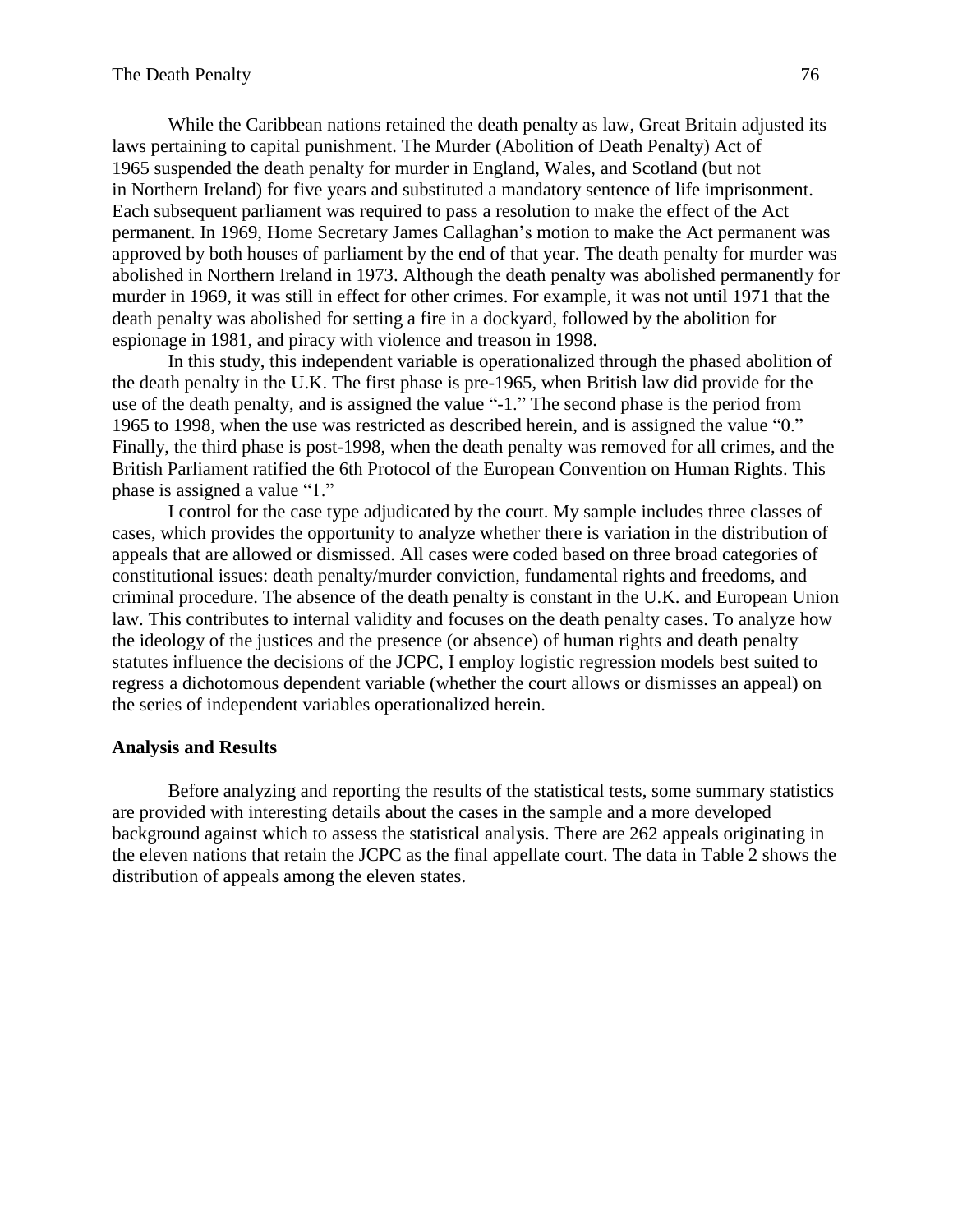While the Caribbean nations retained the death penalty as law, Great Britain adjusted its laws pertaining to capital punishment. The [Murder \(Abolition of Death Penalty\) Act of](http://en.wikipedia.org/wiki/Murder_(Abolition_of_Death_Penalty)_Act_1965)  [1965](http://en.wikipedia.org/wiki/Murder_(Abolition_of_Death_Penalty)_Act_1965) suspended the death penalty for murder in [England,](http://en.wikipedia.org/wiki/England) [Wales,](http://en.wikipedia.org/wiki/Wales) and [Scotland](http://en.wikipedia.org/wiki/Scotland) (but not in [Northern Ireland\)](http://en.wikipedia.org/wiki/Northern_Ireland) for five years and substituted a [mandatory sentence](http://en.wikipedia.org/wiki/Mandatory_sentencing) of [life imprisonment.](http://en.wikipedia.org/wiki/Life_imprisonment) Each subsequent parliament was required to pass a resolution to make the effect of the Act permanent. In 1969, [Home Secretary](http://en.wikipedia.org/wiki/Home_Secretary) [James Callaghan'](http://en.wikipedia.org/wiki/James_Callaghan)s motion to make the Act permanent was approved by both houses of parliament by the end of that year. The death penalty for murder was abolished in Northern Ireland in 1973. Although the death penalty was abolished permanently for murder in 1969, it was still in effect for other crimes. For example, it was not until 1971 that the death penalty was abolished for setting a fire in a dockyard, followed by the abolition for espionage in 1981, and piracy with violence and treason in 1998.

In this study, this independent variable is operationalized through the phased abolition of the death penalty in the U.K. The first phase is pre-1965, when British law did provide for the use of the death penalty, and is assigned the value "-1." The second phase is the period from 1965 to 1998, when the use was restricted as described herein, and is assigned the value "0." Finally, the third phase is post-1998, when the death penalty was removed for all crimes, and the British Parliament ratified the 6th Protocol of the [European Convention on Human Rights.](http://en.wikipedia.org/wiki/European_Convention_on_Human_Rights) This phase is assigned a value "1."

I control for the case type adjudicated by the court. My sample includes three classes of cases, which provides the opportunity to analyze whether there is variation in the distribution of appeals that are allowed or dismissed. All cases were coded based on three broad categories of constitutional issues: death penalty/murder conviction, fundamental rights and freedoms, and criminal procedure. The absence of the death penalty is constant in the U.K. and European Union law. This contributes to internal validity and focuses on the death penalty cases. To analyze how the ideology of the justices and the presence (or absence) of human rights and death penalty statutes influence the decisions of the JCPC, I employ logistic regression models best suited to regress a dichotomous dependent variable (whether the court allows or dismisses an appeal) on the series of independent variables operationalized herein.

#### **Analysis and Results**

Before analyzing and reporting the results of the statistical tests, some summary statistics are provided with interesting details about the cases in the sample and a more developed background against which to assess the statistical analysis. There are 262 appeals originating in the eleven nations that retain the JCPC as the final appellate court. The data in Table 2 shows the distribution of appeals among the eleven states.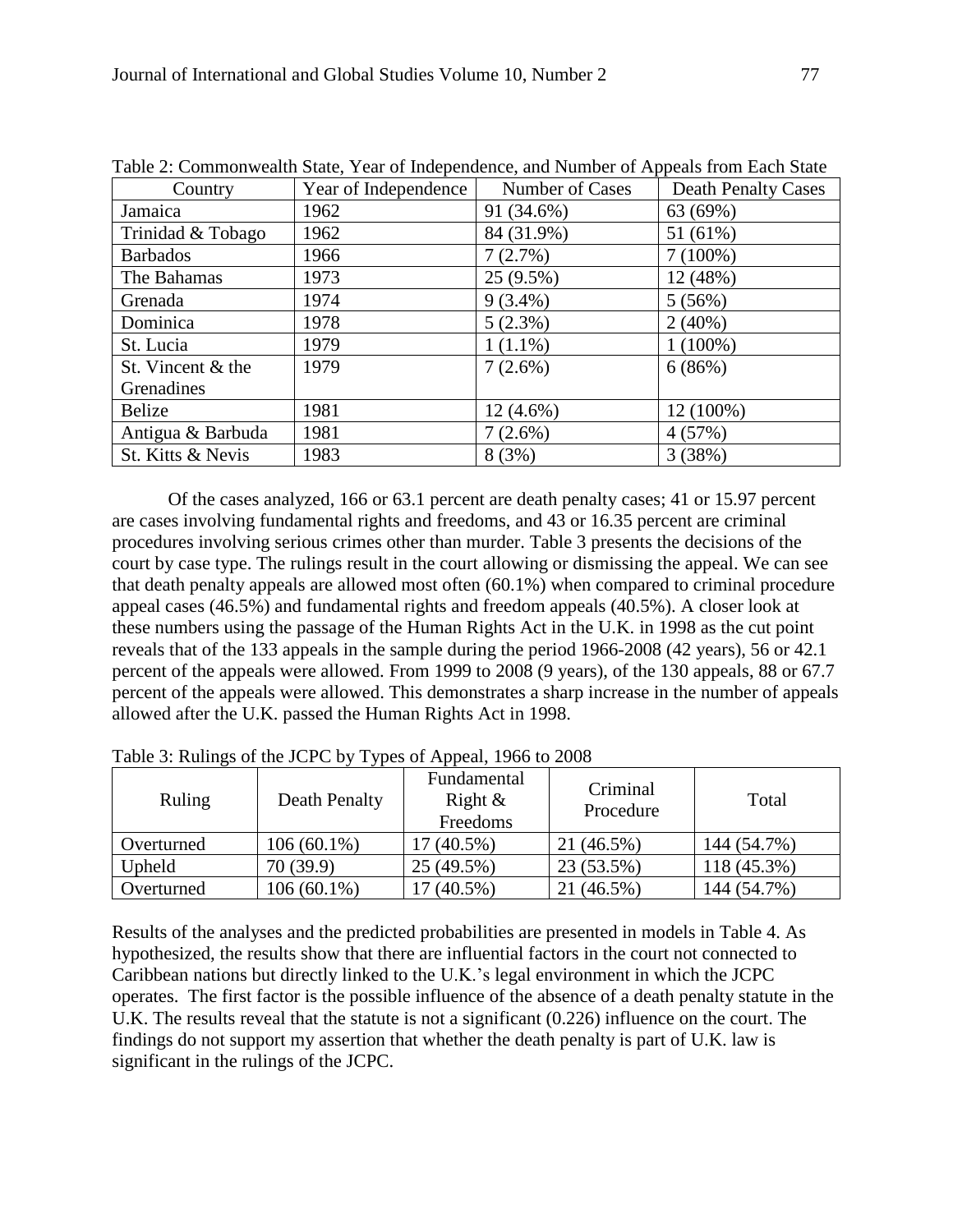| Table 2. Commonwealth State, Teal of Independence, and Number of Appears Hom Each State |                      |                 |                            |
|-----------------------------------------------------------------------------------------|----------------------|-----------------|----------------------------|
| Country                                                                                 | Year of Independence | Number of Cases | <b>Death Penalty Cases</b> |
| Jamaica                                                                                 | 1962                 | 91 (34.6%)      | 63 (69%)                   |
| Trinidad & Tobago                                                                       | 1962                 | 84 (31.9%)      | 51 (61%)                   |
| <b>Barbados</b>                                                                         | 1966                 | 7(2.7%)         | $7(100\%)$                 |
| The Bahamas                                                                             | 1973                 | $25(9.5\%)$     | 12 (48%)                   |
| Grenada                                                                                 | 1974                 | $9(3.4\%)$      | 5(56%)                     |
| Dominica                                                                                | 1978                 | $5(2.3\%)$      | 2(40%)                     |
| St. Lucia                                                                               | 1979                 | $1(1.1\%)$      | $1(100\%)$                 |
| St. Vincent & the                                                                       | 1979                 | $7(2.6\%)$      | 6(86%)                     |
| Grenadines                                                                              |                      |                 |                            |
| <b>Belize</b>                                                                           | 1981                 | $12(4.6\%)$     | 12 (100%)                  |
| Antigua & Barbuda                                                                       | 1981                 | 7(2.6%)         | 4(57%)                     |
| St. Kitts & Nevis                                                                       | 1983                 | 8(3%)           | 3(38%)                     |

Table 2: Commonwealth State, Year of Independence, and Number of Appeals from Each State

Of the cases analyzed, 166 or 63.1 percent are death penalty cases; 41 or 15.97 percent are cases involving fundamental rights and freedoms, and 43 or 16.35 percent are criminal procedures involving serious crimes other than murder. Table 3 presents the decisions of the court by case type. The rulings result in the court allowing or dismissing the appeal. We can see that death penalty appeals are allowed most often (60.1%) when compared to criminal procedure appeal cases (46.5%) and fundamental rights and freedom appeals (40.5%). A closer look at these numbers using the passage of the Human Rights Act in the U.K. in 1998 as the cut point reveals that of the 133 appeals in the sample during the period 1966-2008 (42 years), 56 or 42.1 percent of the appeals were allowed. From 1999 to 2008 (9 years), of the 130 appeals, 88 or 67.7 percent of the appeals were allowed. This demonstrates a sharp increase in the number of appeals allowed after the U.K. passed the Human Rights Act in 1998.

| Ruling     | Death Penalty | Fundamental<br>Right $\&$<br>Freedoms | Criminal<br>Procedure | Total       |
|------------|---------------|---------------------------------------|-----------------------|-------------|
| Overturned | $106(60.1\%)$ | 17 (40.5%)                            | 21 (46.5%)            | 144 (54.7%) |
| Upheld     | 70(39.9)      | 25 (49.5%)                            | 23 (53.5%)            | 118 (45.3%) |
| Overturned | $106(60.1\%)$ | 17 (40.5%)                            | 21 (46.5%)            | 144 (54.7%) |

Table 3: Rulings of the JCPC by Types of Appeal, 1966 to 2008

Results of the analyses and the predicted probabilities are presented in models in Table 4. As hypothesized, the results show that there are influential factors in the court not connected to Caribbean nations but directly linked to the U.K.'s legal environment in which the JCPC operates. The first factor is the possible influence of the absence of a death penalty statute in the U.K. The results reveal that the statute is not a significant (0.226) influence on the court. The findings do not support my assertion that whether the death penalty is part of U.K. law is significant in the rulings of the JCPC.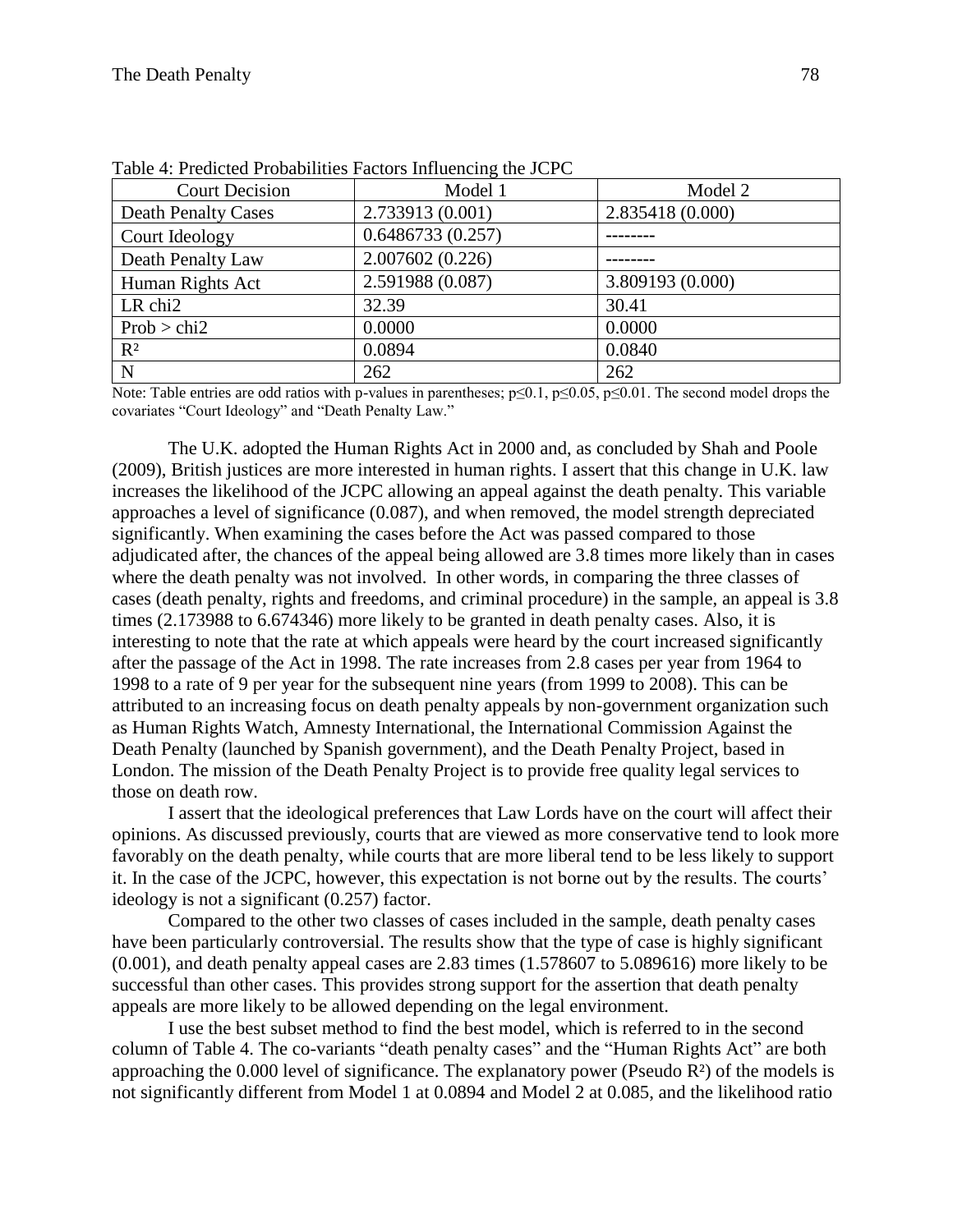| <b>Court Decision</b>      | Model 1          | Model 2          |
|----------------------------|------------------|------------------|
| <b>Death Penalty Cases</b> | 2.733913 (0.001) | 2.835418 (0.000) |
| Court Ideology             | 0.6486733(0.257) |                  |
| Death Penalty Law          | 2.007602 (0.226) |                  |
| Human Rights Act           | 2.591988 (0.087) | 3.809193 (0.000) |
| LR chi <sub>2</sub>        | 32.39            | 30.41            |
| Prob > chi2                | 0.0000           | 0.0000           |
| $R^2$                      | 0.0894           | 0.0840           |
| N                          | 262              | 262              |

Table 4: Predicted Probabilities Factors Influencing the JCPC

Note: Table entries are odd ratios with p-values in parentheses; p≤0.1, p≤0.05, p≤0.01. The second model drops the covariates "Court Ideology" and "Death Penalty Law."

The U.K. adopted the Human Rights Act in 2000 and, as concluded by Shah and Poole (2009), British justices are more interested in human rights. I assert that this change in U.K. law increases the likelihood of the JCPC allowing an appeal against the death penalty. This variable approaches a level of significance (0.087), and when removed, the model strength depreciated significantly. When examining the cases before the Act was passed compared to those adjudicated after, the chances of the appeal being allowed are 3.8 times more likely than in cases where the death penalty was not involved. In other words, in comparing the three classes of cases (death penalty, rights and freedoms, and criminal procedure) in the sample, an appeal is 3.8 times (2.173988 to 6.674346) more likely to be granted in death penalty cases. Also, it is interesting to note that the rate at which appeals were heard by the court increased significantly after the passage of the Act in 1998. The rate increases from 2.8 cases per year from 1964 to 1998 to a rate of 9 per year for the subsequent nine years (from 1999 to 2008). This can be attributed to an increasing focus on death penalty appeals by non-government organization such as Human Rights Watch, Amnesty International, the International Commission Against the Death Penalty (launched by Spanish government), and the Death Penalty Project, based in London. The mission of the Death Penalty Project is to provide free quality legal services to those on death row.

I assert that the ideological preferences that Law Lords have on the court will affect their opinions. As discussed previously, courts that are viewed as more conservative tend to look more favorably on the death penalty, while courts that are more liberal tend to be less likely to support it. In the case of the JCPC, however, this expectation is not borne out by the results. The courts' ideology is not a significant (0.257) factor.

Compared to the other two classes of cases included in the sample, death penalty cases have been particularly controversial. The results show that the type of case is highly significant (0.001), and death penalty appeal cases are 2.83 times (1.578607 to 5.089616) more likely to be successful than other cases. This provides strong support for the assertion that death penalty appeals are more likely to be allowed depending on the legal environment.

I use the best subset method to find the best model, which is referred to in the second column of Table 4. The co-variants "death penalty cases" and the "Human Rights Act" are both approaching the 0.000 level of significance. The explanatory power (Pseudo R²) of the models is not significantly different from Model 1 at 0.0894 and Model 2 at 0.085, and the likelihood ratio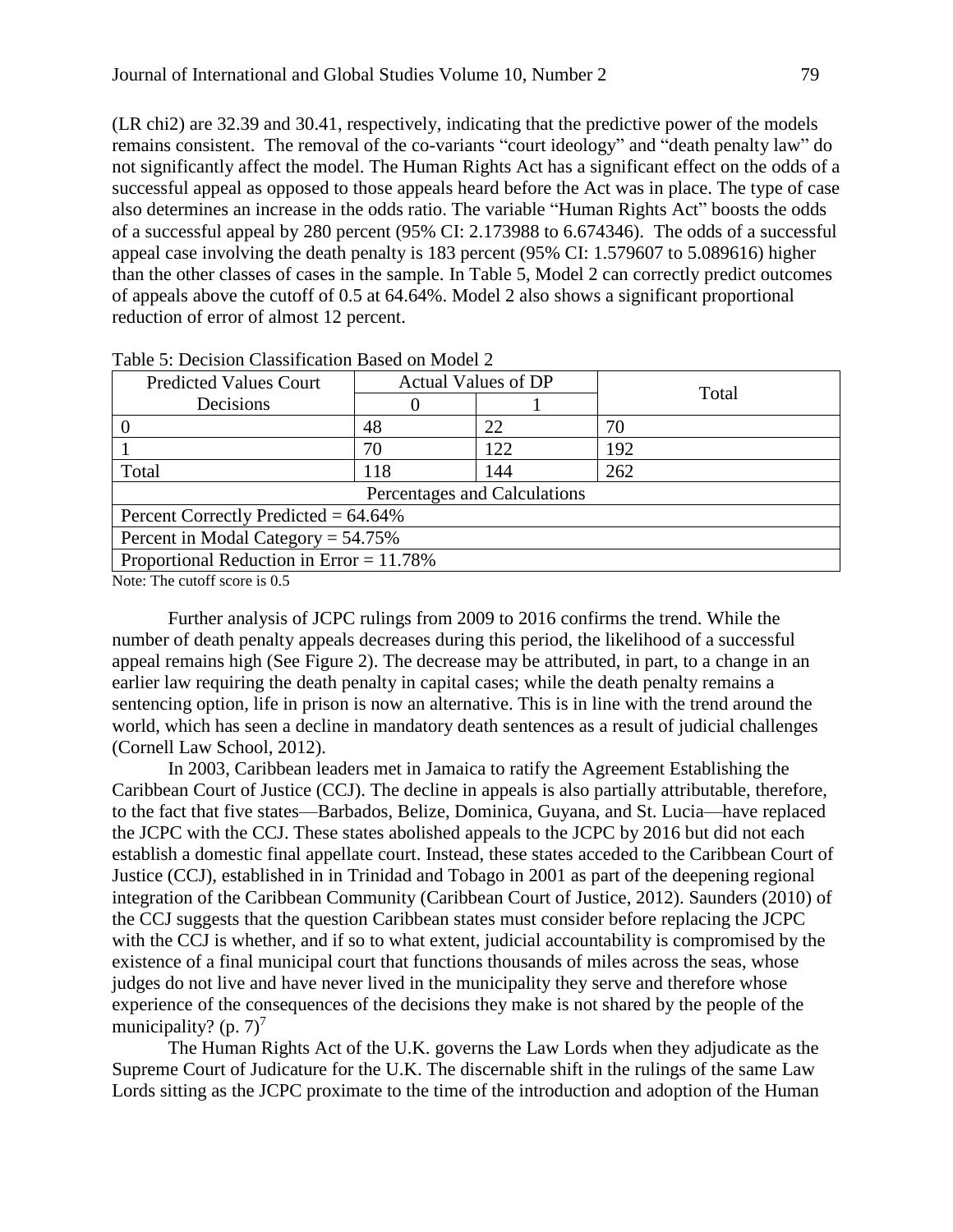(LR chi2) are 32.39 and 30.41, respectively, indicating that the predictive power of the models remains consistent. The removal of the co-variants "court ideology" and "death penalty law" do not significantly affect the model. The Human Rights Act has a significant effect on the odds of a successful appeal as opposed to those appeals heard before the Act was in place. The type of case also determines an increase in the odds ratio. The variable "Human Rights Act" boosts the odds of a successful appeal by 280 percent (95% CI: 2.173988 to 6.674346). The odds of a successful appeal case involving the death penalty is 183 percent (95% CI: 1.579607 to 5.089616) higher than the other classes of cases in the sample. In Table 5, Model 2 can correctly predict outcomes of appeals above the cutoff of 0.5 at 64.64%. Model 2 also shows a significant proportional reduction of error of almost 12 percent.

| <b>Predicted Values Court</b>               | <b>Actual Values of DP</b> |     | Total |  |
|---------------------------------------------|----------------------------|-----|-------|--|
| Decisions                                   |                            |     |       |  |
|                                             | 48                         | 22  | 70    |  |
|                                             | 70                         | 122 | 192   |  |
| Total                                       | 118                        | 144 | 262   |  |
| Percentages and Calculations                |                            |     |       |  |
| Percent Correctly Predicted = $64.64\%$     |                            |     |       |  |
| Percent in Modal Category = $54.75\%$       |                            |     |       |  |
| Proportional Reduction in Error = $11.78\%$ |                            |     |       |  |

Table 5: Decision Classification Based on Model 2

Note: The cutoff score is 0.5

Further analysis of JCPC rulings from 2009 to 2016 confirms the trend. While the number of death penalty appeals decreases during this period, the likelihood of a successful appeal remains high (See Figure 2). The decrease may be attributed, in part, to a change in an earlier law requiring the death penalty in capital cases; while the death penalty remains a sentencing option, life in prison is now an alternative. This is in line with the trend around the world, which has seen a decline in mandatory death sentences as a result of judicial challenges (Cornell Law School, 2012).

In 2003, Caribbean leaders met in Jamaica to ratify the Agreement Establishing the Caribbean Court of Justice (CCJ). The decline in appeals is also partially attributable, therefore, to the fact that five states—Barbados, Belize, Dominica, Guyana, and St. Lucia—have replaced the JCPC with the CCJ. These states abolished appeals to the JCPC by 2016 but did not each establish a domestic final appellate court. Instead, these states acceded to the Caribbean Court of Justice (CCJ), established in in Trinidad and Tobago in 2001 as part of the deepening regional integration of the Caribbean Community (Caribbean Court of Justice, 2012). Saunders (2010) of the CCJ suggests that the question Caribbean states must consider before replacing the JCPC with the CCJ is whether, and if so to what extent, judicial accountability is compromised by the existence of a final municipal court that functions thousands of miles across the seas, whose judges do not live and have never lived in the municipality they serve and therefore whose experience of the consequences of the decisions they make is not shared by the people of the municipality? (p.  $7)^7$ 

The Human Rights Act of the U.K. governs the Law Lords when they adjudicate as the Supreme Court of Judicature for the U.K. The discernable shift in the rulings of the same Law Lords sitting as the JCPC proximate to the time of the introduction and adoption of the Human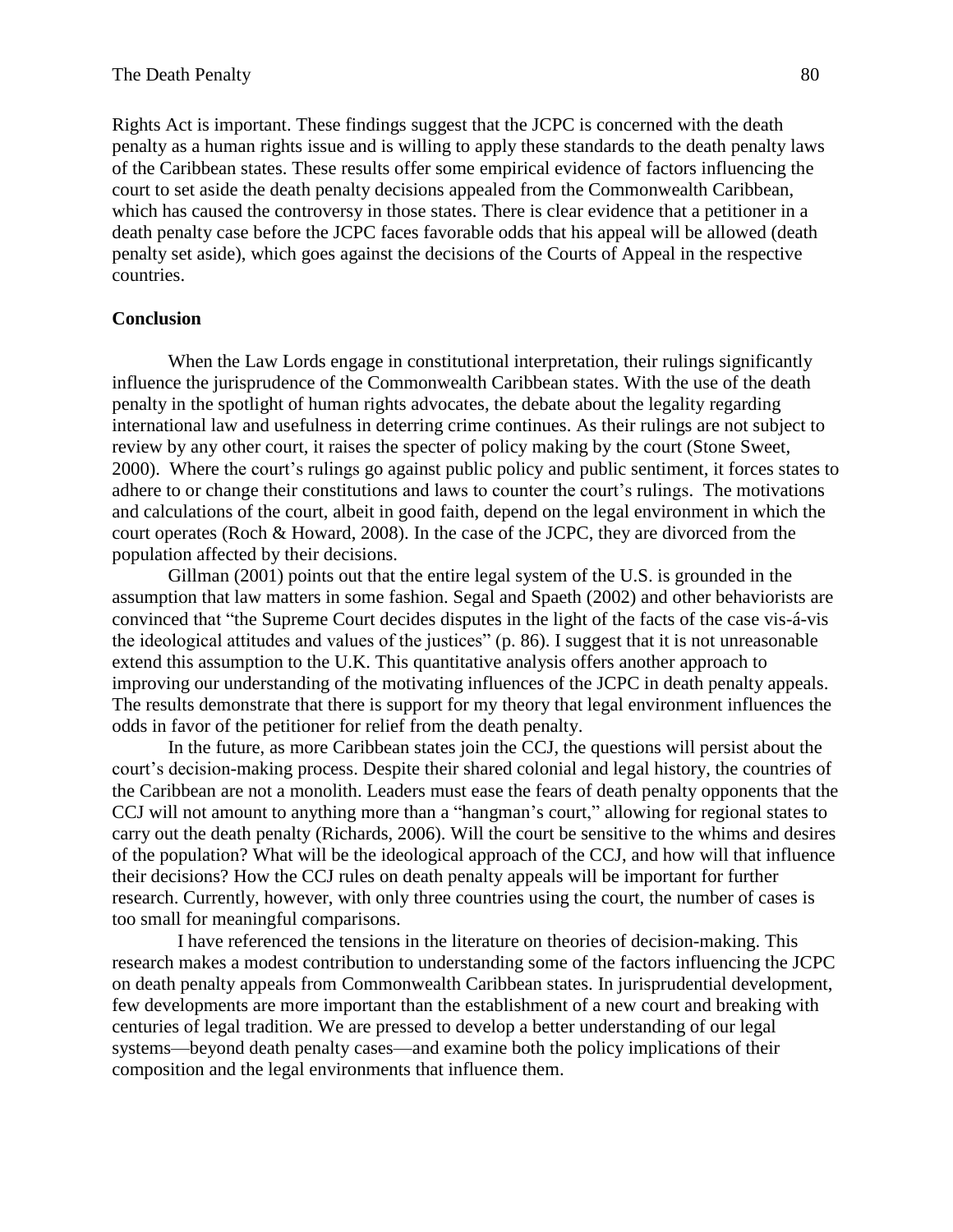Rights Act is important. These findings suggest that the JCPC is concerned with the death penalty as a human rights issue and is willing to apply these standards to the death penalty laws of the Caribbean states. These results offer some empirical evidence of factors influencing the court to set aside the death penalty decisions appealed from the Commonwealth Caribbean, which has caused the controversy in those states. There is clear evidence that a petitioner in a death penalty case before the JCPC faces favorable odds that his appeal will be allowed (death penalty set aside), which goes against the decisions of the Courts of Appeal in the respective countries.

# **Conclusion**

When the Law Lords engage in constitutional interpretation, their rulings significantly influence the jurisprudence of the Commonwealth Caribbean states. With the use of the death penalty in the spotlight of human rights advocates, the debate about the legality regarding international law and usefulness in deterring crime continues. As their rulings are not subject to review by any other court, it raises the specter of policy making by the court (Stone Sweet, 2000). Where the court's rulings go against public policy and public sentiment, it forces states to adhere to or change their constitutions and laws to counter the court's rulings. The motivations and calculations of the court, albeit in good faith, depend on the legal environment in which the court operates (Roch & Howard, 2008). In the case of the JCPC, they are divorced from the population affected by their decisions.

Gillman (2001) points out that the entire legal system of the U.S. is grounded in the assumption that law matters in some fashion. Segal and Spaeth (2002) and other behaviorists are convinced that "the Supreme Court decides disputes in the light of the facts of the case vis-á-vis the ideological attitudes and values of the justices" (p. 86). I suggest that it is not unreasonable extend this assumption to the U.K. This quantitative analysis offers another approach to improving our understanding of the motivating influences of the JCPC in death penalty appeals. The results demonstrate that there is support for my theory that legal environment influences the odds in favor of the petitioner for relief from the death penalty.

In the future, as more Caribbean states join the CCJ, the questions will persist about the court's decision-making process. Despite their shared colonial and legal history, the countries of the Caribbean are not a monolith. Leaders must ease the fears of death penalty opponents that the CCJ will not amount to anything more than a "hangman's court," allowing for regional states to carry out the death penalty (Richards, 2006). Will the court be sensitive to the whims and desires of the population? What will be the ideological approach of the CCJ, and how will that influence their decisions? How the CCJ rules on death penalty appeals will be important for further research. Currently, however, with only three countries using the court, the number of cases is too small for meaningful comparisons.

 I have referenced the tensions in the literature on theories of decision-making. This research makes a modest contribution to understanding some of the factors influencing the JCPC on death penalty appeals from Commonwealth Caribbean states. In jurisprudential development, few developments are more important than the establishment of a new court and breaking with centuries of legal tradition. We are pressed to develop a better understanding of our legal systems—beyond death penalty cases—and examine both the policy implications of their composition and the legal environments that influence them.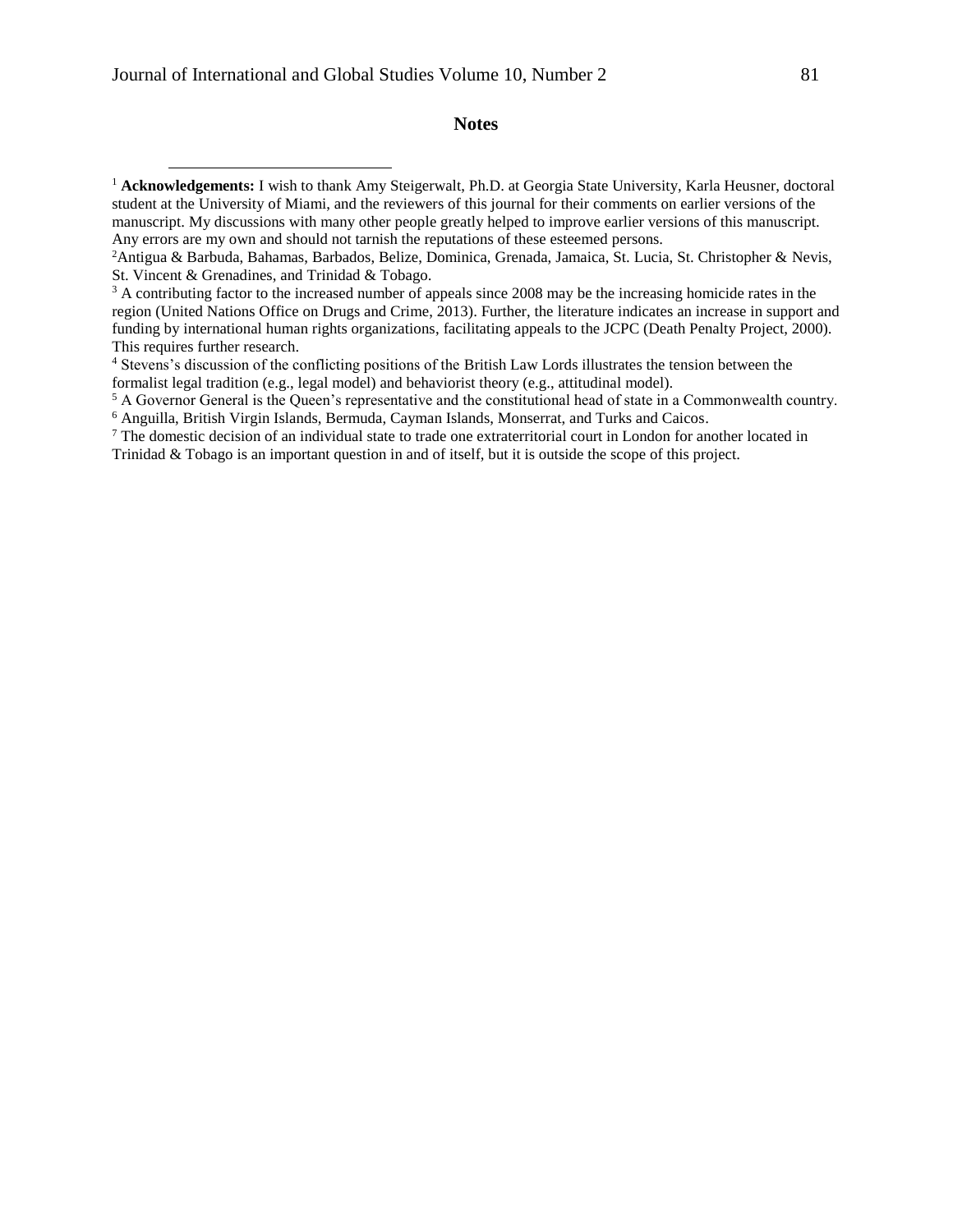$\overline{a}$ 

#### **Notes**

<sup>&</sup>lt;sup>1</sup> Acknowledgements: I wish to thank Amy Steigerwalt, Ph.D. at Georgia State University, Karla Heusner, doctoral student at the University of Miami, and the reviewers of this journal for their comments on earlier versions of the manuscript. My discussions with many other people greatly helped to improve earlier versions of this manuscript. Any errors are my own and should not tarnish the reputations of these esteemed persons.

<sup>2</sup>Antigua & Barbuda, Bahamas, Barbados, Belize, Dominica, Grenada, Jamaica, St. Lucia, St. Christopher & Nevis, St. Vincent & Grenadines, and Trinidad & Tobago.

<sup>&</sup>lt;sup>3</sup> A contributing factor to the increased number of appeals since 2008 may be the increasing homicide rates in the region (United Nations Office on Drugs and Crime, 2013). Further, the literature indicates an increase in support and funding by international human rights organizations, facilitating appeals to the JCPC (Death Penalty Project, 2000). This requires further research.

<sup>4</sup> Stevens's discussion of the conflicting positions of the British Law Lords illustrates the tension between the formalist legal tradition (e.g., legal model) and behaviorist theory (e.g., attitudinal model).

<sup>5</sup> A Governor General is the Queen's representative and the constitutional head of state in a Commonwealth country. <sup>6</sup> Anguilla, British Virgin Islands, Bermuda, Cayman Islands, Monserrat, and Turks and Caicos.

<sup>&</sup>lt;sup>7</sup> The domestic decision of an individual state to trade one extraterritorial court in London for another located in Trinidad & Tobago is an important question in and of itself, but it is outside the scope of this project.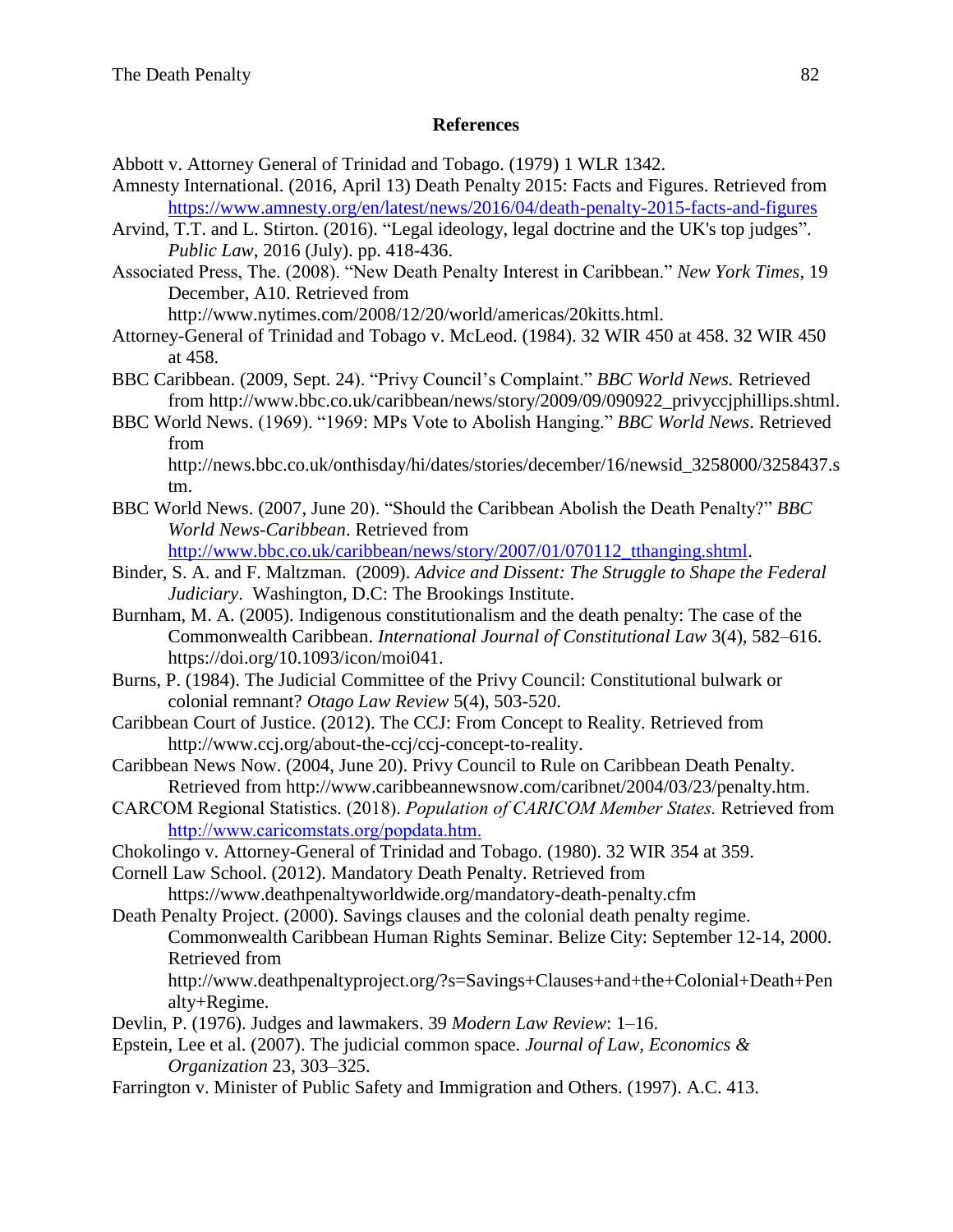# **References**

Abbott v. Attorney General of Trinidad and Tobago. (1979) 1 WLR 1342.

- Amnesty International. (2016, April 13) Death Penalty 2015: Facts and Figures. Retrieved from <https://www.amnesty.org/en/latest/news/2016/04/death-penalty-2015-facts-and-figures>
- Arvind, T.T. and L. Stirton. (2016). "Legal ideology, legal doctrine and the UK's top judges". *Public Law*, 2016 (July). pp. 418-436.
- Associated Press, The. (2008). "New Death Penalty Interest in Caribbean." *New York Times*, 19 December, A10. Retrieved from

http://www.nytimes.com/2008/12/20/world/americas/20kitts.html.

- Attorney-General of Trinidad and Tobago v. McLeod. (1984). 32 WIR 450 at 458. 32 WIR 450 at 458.
- BBC Caribbean. (2009, Sept. 24). "Privy Council's Complaint." *BBC World News.* Retrieved from http://www.bbc.co.uk/caribbean/news/story/2009/09/090922\_privyccjphillips.shtml.
- BBC World News. (1969). "1969: MPs Vote to Abolish Hanging." *BBC World News*. Retrieved from http://news.bbc.co.uk/onthisday/hi/dates/stories/december/16/newsid\_3258000/3258437.s

tm.

BBC World News. (2007, June 20). "Should the Caribbean Abolish the Death Penalty?" *BBC World News-Caribbean*. Retrieved from

[http://www.bbc.co.uk/caribbean/news/story/2007/01/070112\\_tthanging.shtml.](http://www.bbc.co.uk/caribbean/news/story/2007/01/070112_tthanging.shtml)

- Binder, S. A. and F. Maltzman. (2009). *Advice and Dissent: The Struggle to Shape the Federal Judiciary*. Washington, D.C: The Brookings Institute.
- Burnham, M. A. (2005). Indigenous constitutionalism and the death penalty: The case of the Commonwealth Caribbean. *International Journal of Constitutional Law* 3(4), 582–616. https://doi.org/10.1093/icon/moi041.
- Burns, P. (1984). The Judicial Committee of the Privy Council: Constitutional bulwark or colonial remnant? *Otago Law Review* 5(4), 503-520.
- Caribbean Court of Justice. (2012). The CCJ: From Concept to Reality. Retrieved from http://www.ccj.org/about-the-ccj/ccj-concept-to-reality.
- Caribbean News Now. (2004, June 20). Privy Council to Rule on Caribbean Death Penalty. Retrieved from http://www.caribbeannewsnow.com/caribnet/2004/03/23/penalty.htm.
- CARCOM Regional Statistics. (2018). *Population of CARICOM Member States.* Retrieved from [http://www.caricomstats.org/popdata.htm.](http://www.caricomstats.org/popdata.htm)
- Chokolingo v. Attorney-General of Trinidad and Tobago. (1980). 32 WIR 354 at 359.

Cornell Law School. (2012). Mandatory Death Penalty. Retrieved from https://www.deathpenaltyworldwide.org/mandatory-death-penalty.cfm

- Death Penalty Project. (2000). Savings clauses and the colonial death penalty regime. Commonwealth Caribbean Human Rights Seminar. Belize City: September 12-14, 2000. Retrieved from
	- http://www.deathpenaltyproject.org/?s=Savings+Clauses+and+the+Colonial+Death+Pen alty+Regime.
- Devlin, P. (1976). Judges and lawmakers. 39 *Modern Law Review*: 1–16.
- Epstein, Lee et al. (2007). The judicial common space. *Journal of Law, Economics & Organization* 23, 303–325.
- Farrington v. Minister of Public Safety and Immigration and Others. (1997). A.C. 413.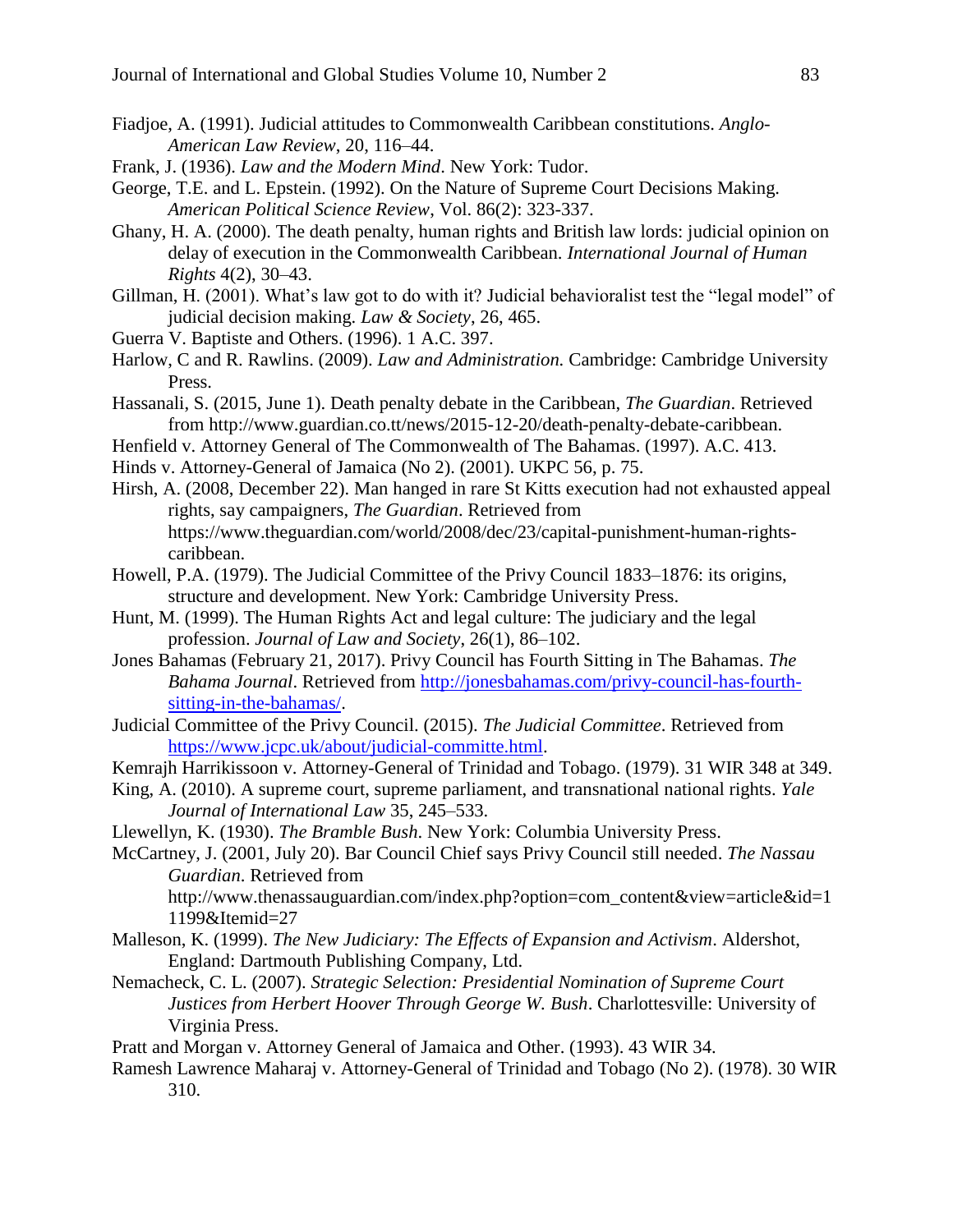- Fiadjoe, A. (1991). Judicial attitudes to Commonwealth Caribbean constitutions. *Anglo-American Law Review*, 20, 116–44.
- Frank, J. (1936). *Law and the Modern Mind*. New York: Tudor.
- George, T.E. and L. Epstein. (1992). On the Nature of Supreme Court Decisions Making. *American Political Science Review*, Vol. 86(2): 323-337.
- Ghany, H. A. (2000). The death penalty, human rights and British law lords: judicial opinion on delay of execution in the Commonwealth Caribbean. *International Journal of Human Rights* 4(2), 30–43.
- Gillman, H. (2001). What's law got to do with it? Judicial behavioralist test the "legal model" of judicial decision making. *Law & Society*, 26, 465.
- Guerra V. Baptiste and Others. (1996). 1 A.C. 397.
- Harlow, C and R. Rawlins. (2009). *Law and Administration.* Cambridge: Cambridge University Press.
- Hassanali, S. (2015, June 1). Death penalty debate in the Caribbean, *The Guardian*. Retrieved from http://www.guardian.co.tt/news/2015-12-20/death-penalty-debate-caribbean.
- Henfield v. Attorney General of The Commonwealth of The Bahamas. (1997). A.C. 413.
- Hinds v. Attorney-General of Jamaica (No 2). (2001). UKPC 56, p. 75.
- Hirsh, A. (2008, December 22). Man hanged in rare St Kitts execution had not exhausted appeal rights, say campaigners, *The Guardian*. Retrieved from https://www.theguardian.com/world/2008/dec/23/capital-punishment-human-rightscaribbean.
- Howell, P.A. (1979). The Judicial Committee of the Privy Council 1833–1876: its origins, structure and development. New York: Cambridge University Press.
- Hunt, M. (1999). The Human Rights Act and legal culture: The judiciary and the legal profession. *Journal of Law and Society*, 26(1), 86–102.
- Jones Bahamas (February 21, 2017). Privy Council has Fourth Sitting in The Bahamas. *The Bahama Journal*. Retrieved from [http://jonesbahamas.com/privy-council-has-fourth](http://jonesbahamas.com/privy-council-has-fourth-sitting-in-the-bahamas/)[sitting-in-the-bahamas/.](http://jonesbahamas.com/privy-council-has-fourth-sitting-in-the-bahamas/)
- Judicial Committee of the Privy Council. (2015). *The Judicial Committee*. Retrieved from [https://www.jcpc.uk/about/judicial-committe.html.](https://www.jcpc.uk/about/judicial-committe.html)
- Kemrajh Harrikissoon v. Attorney-General of Trinidad and Tobago. (1979). 31 WIR 348 at 349.
- King, A. (2010). A supreme court, supreme parliament, and transnational national rights. *Yale Journal of International Law* 35, 245–533.
- Llewellyn, K. (1930). *The Bramble Bush*. New York: Columbia University Press.

McCartney, J. (2001, July 20). Bar Council Chief says Privy Council still needed. *The Nassau Guardian*. Retrieved from http://www.thenassauguardian.com/index.php?option=com\_content&view=article&id=1

1199&Itemid=27

- Malleson, K. (1999). *The New Judiciary: The Effects of Expansion and Activism*. Aldershot, England: Dartmouth Publishing Company, Ltd.
- Nemacheck, C. L. (2007). *Strategic Selection: Presidential Nomination of Supreme Court Justices from Herbert Hoover Through George W. Bush*. Charlottesville: University of Virginia Press.
- Pratt and Morgan v. Attorney General of Jamaica and Other. (1993). 43 WIR 34.
- Ramesh Lawrence Maharaj v. Attorney-General of Trinidad and Tobago (No 2). (1978). 30 WIR 310.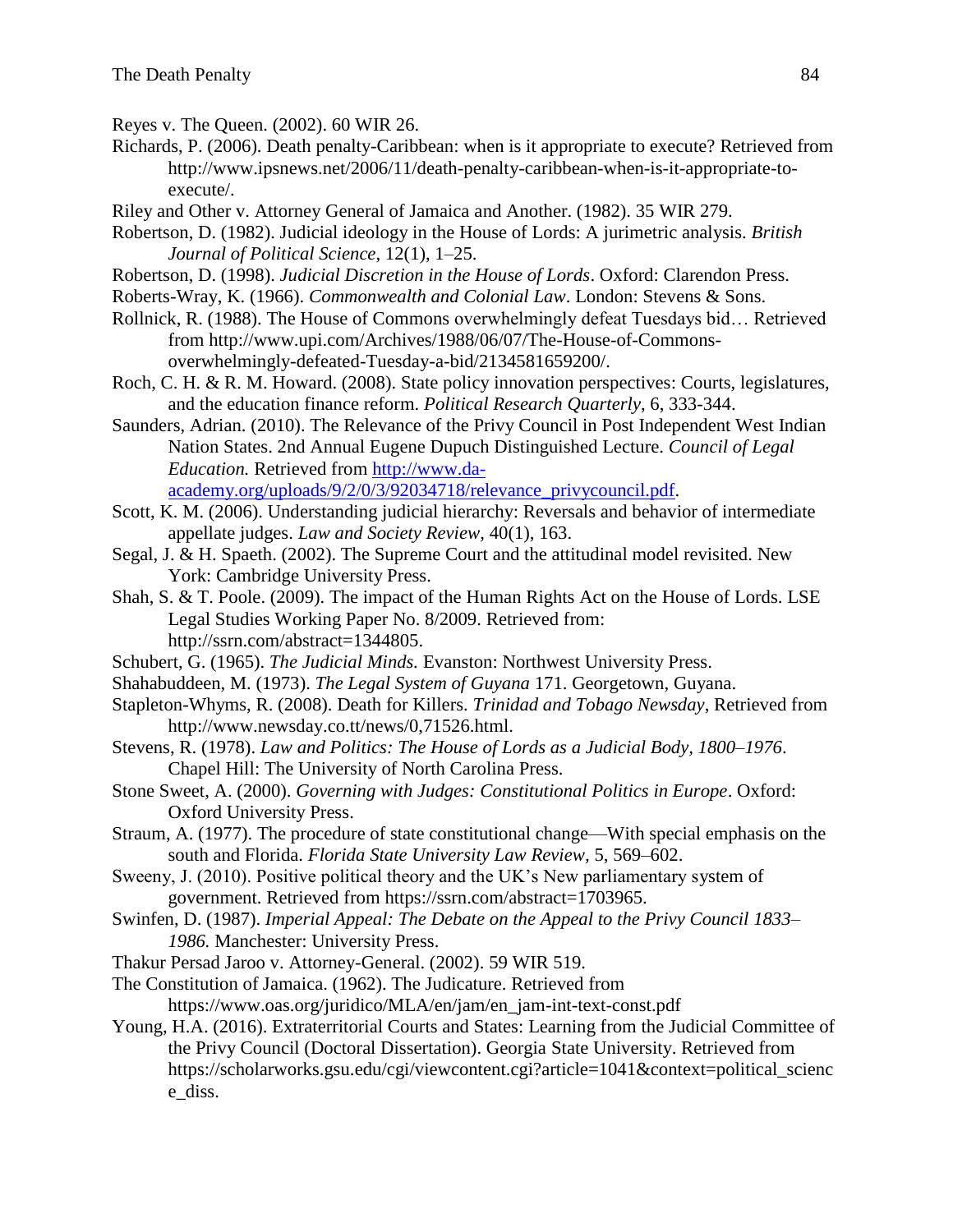- Reyes v. The Queen. (2002). 60 WIR 26.
- Richards, P. (2006). Death penalty-Caribbean: when is it appropriate to execute? Retrieved from http://www.ipsnews.net/2006/11/death-penalty-caribbean-when-is-it-appropriate-toexecute/.
- Riley and Other v. Attorney General of Jamaica and Another. (1982). 35 WIR 279.
- Robertson, D. (1982). Judicial ideology in the House of Lords: A jurimetric analysis. *British Journal of Political Science*, 12(1), 1–25.
- Robertson, D. (1998). *Judicial Discretion in the House of Lords*. Oxford: Clarendon Press.
- Roberts-Wray, K. (1966). *Commonwealth and Colonial Law*. London: Stevens & Sons.
- Rollnick, R. (1988). The House of Commons overwhelmingly defeat Tuesdays bid… Retrieved from http://www.upi.com/Archives/1988/06/07/The-House-of-Commonsoverwhelmingly-defeated-Tuesday-a-bid/2134581659200/.
- Roch, C. H. & R. M. Howard. (2008). State policy innovation perspectives: Courts, legislatures, and the education finance reform. *Political Research Quarterly*, 6, 333-344.
- Saunders, Adrian. (2010). The Relevance of the Privy Council in Post Independent West Indian Nation States. 2nd Annual Eugene Dupuch Distinguished Lecture. *Council of Legal Education.* Retrieved from [http://www.da](http://www.da-academy.org/uploads/9/2/0/3/92034718/relevance_privycouncil.pdf)[academy.org/uploads/9/2/0/3/92034718/relevance\\_privycouncil.pdf.](http://www.da-academy.org/uploads/9/2/0/3/92034718/relevance_privycouncil.pdf)
- Scott, K. M. (2006). Understanding judicial hierarchy: Reversals and behavior of intermediate appellate judges. *Law and Society Review*, 40(1), 163.
- Segal, J. & H. Spaeth. (2002). The Supreme Court and the attitudinal model revisited. New York: Cambridge University Press.
- Shah, S. & T. Poole. (2009). The impact of the Human Rights Act on the House of Lords. LSE Legal Studies Working Paper No. 8/2009. Retrieved from: http://ssrn.com/abstract=1344805.
- Schubert, G. (1965). *The Judicial Minds.* Evanston: Northwest University Press.
- Shahabuddeen, M. (1973). *The Legal System of Guyana* 171. Georgetown, Guyana.
- Stapleton-Whyms, R. (2008). Death for Killers. *Trinidad and Tobago Newsday*, Retrieved from http://www.newsday.co.tt/news/0,71526.html.
- Stevens, R. (1978). *Law and Politics: The House of Lords as a Judicial Body, 1800–1976*. Chapel Hill: The University of North Carolina Press.
- Stone Sweet, A. (2000). *Governing with Judges: Constitutional Politics in Europe*. Oxford: Oxford University Press.
- Straum, A. (1977). The procedure of state constitutional change—With special emphasis on the south and Florida. *Florida State University Law Review,* 5, 569–602.
- Sweeny, J. (2010). Positive political theory and the UK's New parliamentary system of government. Retrieved from https://ssrn.com/abstract=1703965.
- Swinfen, D. (1987). *Imperial Appeal: The Debate on the Appeal to the Privy Council 1833– 1986.* Manchester: University Press.
- Thakur Persad Jaroo v. Attorney-General. (2002). 59 WIR 519.
- The Constitution of Jamaica. (1962). The Judicature. Retrieved from https://www.oas.org/juridico/MLA/en/jam/en\_jam-int-text-const.pdf
- Young, H.A. (2016). Extraterritorial Courts and States: Learning from the Judicial Committee of the Privy Council (Doctoral Dissertation). Georgia State University. Retrieved from https://scholarworks.gsu.edu/cgi/viewcontent.cgi?article=1041&context=political\_scienc e\_diss.